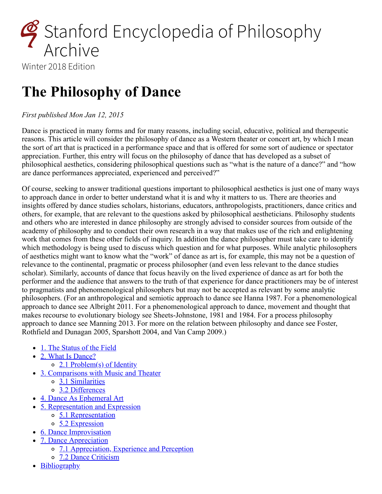

Winter 2018 Edition

# **The Philosophy of Dance**

#### *First published Mon Jan 12, 2015*

Dance is practiced in many forms and for many reasons, including social, educative, political and therapeutic reasons. This article will consider the philosophy of dance as a Western theater or concert art, by which I mean the sort of art that is practiced in a performance space and that is offered for some sort of audience or spectator appreciation. Further, this entry will focus on the philosophy of dance that has developed as a subset of philosophical aesthetics, considering philosophical questions such as "what is the nature of a dance?" and "how are dance performances appreciated, experienced and perceived?"

Of course, seeking to answer traditional questions important to philosophical aesthetics is just one of many ways to approach dance in order to better understand what it is and why it matters to us. There are theories and insights offered by dance studies scholars, historians, educators, anthropologists, practitioners, dance critics and others, for example, that are relevant to the questions asked by philosophical aestheticians. Philosophy students and others who are interested in dance philosophy are strongly advised to consider sources from outside of the academy of philosophy and to conduct their own research in a way that makes use of the rich and enlightening work that comes from these other fields of inquiry. In addition the dance philosopher must take care to identify which methodology is being used to discuss which question and for what purposes. While analytic philosophers of aesthetics might want to know what the "work" of dance as art is, for example, this may not be a question of relevance to the continental, pragmatic or process philosopher (and even less relevant to the dance studies scholar). Similarly, accounts of dance that focus heavily on the lived experience of dance as art for both the performer and the audience that answers to the truth of that experience for dance practitioners may be of interest to pragmatists and phenomenological philosophers but may not be accepted as relevant by some analytic philosophers. (For an anthropological and semiotic approach to dance see Hanna 1987. For a phenomenological approach to dance see Albright 2011. For a phenomenological approach to dance, movement and thought that makes recourse to evolutionary biology see Sheets-Johnstone, 1981 and 1984. For a process philosophy approach to dance see Manning 2013. For more on the relation between philosophy and dance see Foster, Rothfield and Dunagan 2005, Sparshott 2004, and Van Camp 2009.)

- [1. The Status of the Field](#page-1-0)
- [2. What Is Dance?](#page-1-1)
	- [2.1 Problem\(s\) of Identity](#page-3-0)
- [3. Comparisons with Music and Theater](#page-5-0)
	- [3.1 Similarities](#page-6-0)
	- [3.2 Differences](#page-7-0)
- [4. Dance As Ephemeral Art](#page-8-0)
- [5. Representation and Expression](#page-8-1)
	- o [5.1 Representation](#page-9-0)
	- o [5.2 Expression](#page-9-1)
- [6. Dance Improvisation](#page-10-0)
- [7. Dance Appreciation](#page-11-0)
	- o [7.1 Appreciation, Experience and Perception](#page-11-1)
	- o [7.2 Dance Criticism](#page-13-0)
- [Bibliography](#page-14-0)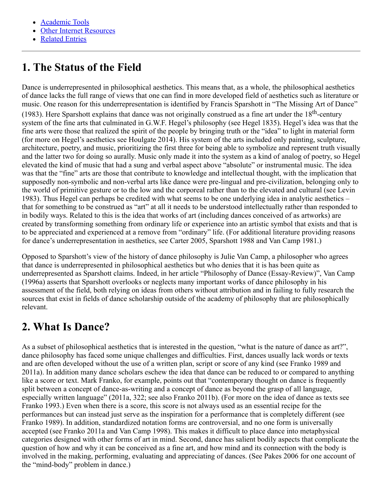- [Academic Tools](#page-22-0)
- [Other Internet Resources](#page-22-1)
- [Related Entries](#page-22-2)

# <span id="page-1-0"></span>**1. The Status of the Field**

Dance is underrepresented in philosophical aesthetics. This means that, as a whole, the philosophical aesthetics of dance lacks the full range of views that one can find in more developed field of aesthetics such as literature or music. One reason for this underrepresentation is identified by Francis Sparshott in "The Missing Art of Dance" (1983). Here Sparshott explains that dance was not originally construed as a fine art under the  $18<sup>th</sup>$ -century system of the fine arts that culminated in G.W.F. Hegel's philosophy (see Hegel 1835). Hegel's idea was that the fine arts were those that realized the spirit of the people by bringing truth or the "idea" to light in material form (for more on Hegel's aesthetics see Houlgate 2014). His system of the arts included only painting, sculpture, architecture, poetry, and music, prioritizing the first three for being able to symbolize and represent truth visually and the latter two for doing so aurally. Music only made it into the system as a kind of analog of poetry, so Hegel elevated the kind of music that had a sung and verbal aspect above "absolute" or instrumental music. The idea was that the "fine" arts are those that contribute to knowledge and intellectual thought, with the implication that supposedly non-symbolic and non-verbal arts like dance were pre-lingual and pre-civilization, belonging only to the world of primitive gesture or to the low and the corporeal rather than to the elevated and cultural (see Levin 1983). Thus Hegel can perhaps be credited with what seems to be one underlying idea in analytic aesthetics – that for something to be construed as "art" at all it needs to be understood intellectually rather than responded to in bodily ways. Related to this is the idea that works of art (including dances conceived of as artworks) are created by transforming something from ordinary life or experience into an artistic symbol that exists and that is to be appreciated and experienced at a remove from "ordinary" life. (For additional literature providing reasons for dance's underrepresentation in aesthetics, see Carter 2005, Sparshott 1988 and Van Camp 1981.)

Opposed to Sparshott's view of the history of dance philosophy is Julie Van Camp, a philosopher who agrees that dance is underrepresented in philosophical aesthetics but who denies that it is has been quite as underrepresented as Sparshott claims. Indeed, in her article "Philosophy of Dance (Essay-Review)", Van Camp (1996a) asserts that Sparshott overlooks or neglects many important works of dance philosophy in his assessment of the field, both relying on ideas from others without attribution and in failing to fully research the sources that exist in fields of dance scholarship outside of the academy of philosophy that are philosophically relevant.

# <span id="page-1-1"></span>**2. What Is Dance?**

As a subset of philosophical aesthetics that is interested in the question, "what is the nature of dance as art?", dance philosophy has faced some unique challenges and difficulties. First, dances usually lack words or texts and are often developed without the use of a written plan, script or score of any kind (see Franko 1989 and 2011a). In addition many dance scholars eschew the idea that dance can be reduced to or compared to anything like a score or text. Mark Franko, for example, points out that "contemporary thought on dance is frequently split between a concept of dance-as-writing and a concept of dance as beyond the grasp of all language, especially written language" (2011a, 322; see also Franko 2011b). (For more on the idea of dance as texts see Franko 1993.) Even when there is a score, this score is not always used as an essential recipe for the performances but can instead just serve as the inspiration for a performance that is completely different (see Franko 1989). In addition, standardized notation forms are controversial, and no one form is universally accepted (see Franko 2011a and Van Camp 1998). This makes it difficult to place dance into metaphysical categories designed with other forms of art in mind. Second, dance has salient bodily aspects that complicate the question of how and why it can be conceived as a fine art, and how mind and its connection with the body is involved in the making, performing, evaluating and appreciating of dances. (See Pakes 2006 for one account of the "mind-body" problem in dance.)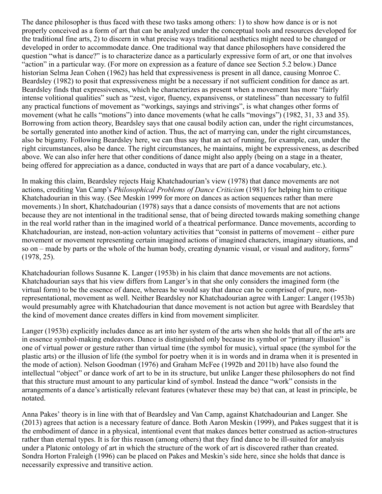The dance philosopher is thus faced with these two tasks among others: 1) to show how dance is or is not properly conceived as a form of art that can be analyzed under the conceptual tools and resources developed for the traditional fine arts, 2) to discern in what precise ways traditional aesthetics might need to be changed or developed in order to accommodate dance. One traditional way that dance philosophers have considered the question "what is dance?" is to characterize dance as a particularly expressive form of art, or one that involves "action" in a particular way. (For more on expression as a feature of dance see Section 5.2 below.) Dance historian Selma Jean Cohen (1962) has held that expressiveness is present in all dance, causing Monroe C. Beardsley (1982) to posit that expressiveness might be a necessary if not sufficient condition for dance as art. Beardsley finds that expressiveness, which he characterizes as present when a movement has more "fairly intense volitional qualities" such as "zest, vigor, fluency, expansivenss, or stateliness" than necessary to fulfil any practical functions of movement as "workings, sayings and strivings", is what changes other forms of movement (what he calls "motions") into dance movements (what he calls "movings") (1982, 31, 33 and 35). Borrowing from action theory, Beardsley says that one causal bodily action can, under the right circumstances, be sortally generated into another kind of action. Thus, the act of marrying can, under the right circumstances, also be bigamy. Following Beardsley here, we can thus say that an act of running, for example, can, under the right circumstances, also be dance. The right circumstances, he maintains, might be expressiveness, as described above. We can also infer here that other conditions of dance might also apply (being on a stage in a theater, being offered for appreciation as a dance, conducted in ways that are part of a dance vocabulary, etc.).

In making this claim, Beardsley rejects Haig Khatchadourian's view (1978) that dance movements are not actions, crediting Van Camp's *Philosophical Problems of Dance Criticism* (1981) for helping him to critique Khatchadourian in this way. (See Meskin 1999 for more on dances as action sequences rather than mere movements.) In short, Khatchadourian (1978) says that a dance consists of movements that are not actions because they are not intentional in the traditional sense, that of being directed towards making something change in the real world rather than in the imagined world of a theatrical performance. Dance movements, according to Khatchadourian, are instead, non-action voluntary activities that "consist in patterns of movement – either pure movement or movement representing certain imagined actions of imagined characters, imaginary situations, and so on – made by parts or the whole of the human body, creating dynamic visual, or visual and auditory, forms" (1978, 25).

Khatchadourian follows Susanne K. Langer (1953b) in his claim that dance movements are not actions. Khatchadourian says that his view differs from Langer's in that she only considers the imagined form (the virtual form) to be the essence of dance, whereas he would say that dance can be comprised of pure, nonrepresentational, movement as well. Neither Beardsley nor Khatchadourian agree with Langer: Langer (1953b) would presumably agree with Khatchadourian that dance movement is not action but agree with Beardsley that the kind of movement dance creates differs in kind from movement simpliciter.

Langer (1953b) explicitly includes dance as art into her system of the arts when she holds that all of the arts are in essence symbol-making endeavors. Dance is distinguished only because its symbol or "primary illusion" is one of virtual power or gesture rather than virtual time (the symbol for music), virtual space (the symbol for the plastic arts) or the illusion of life (the symbol for poetry when it is in words and in drama when it is presented in the mode of action). Nelson Goodman (1976) and Graham McFee (1992b and 2011b) have also found the intellectual "object" or dance work of art to be in its structure, but unlike Langer these philosophers do not find that this structure must amount to any particular kind of symbol. Instead the dance "work" consists in the arrangements of a dance's artistically relevant features (whatever these may be) that can, at least in principle, be notated.

Anna Pakes' theory is in line with that of Beardsley and Van Camp, against Khatchadourian and Langer. She (2013) agrees that action is a necessary feature of dance. Both Aaron Meskin (1999), and Pakes suggest that it is the embodiment of dance in a physical, intentional event that makes dances better construed as action-structures rather than eternal types. It is for this reason (among others) that they find dance to be ill-suited for analysis under a Platonic ontology of art in which the structure of the work of art is discovered rather than created. Sondra Horton Fraleigh (1996) can be placed on Pakes and Meskin's side here, since she holds that dance is necessarily expressive and transitive action.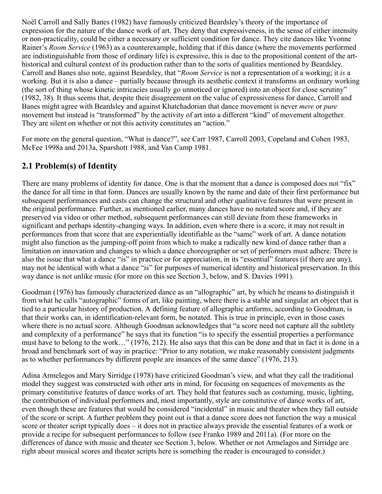Noël Carroll and Sally Banes (1982) have famously criticized Beardsley's theory of the importance of expression for the nature of the dance work of art. They deny that expressiveness, in the sense of either intensity or non-practicality, could be either a necessary or sufficient condition for dance. They cite dances like Yvonne Rainer's *Room Service* (1963) as a counterexample, holding that if this dance (where the movements performed are indistinguishable from those of ordinary life) is expressive, this is due to the propositional content of the arthistorical and cultural context of its production rather than to the sorts of qualities mentioned by Beardsley. Carroll and Banes also note, against Beardsley, that "*Room Service* is not a representation of a working; it *is* a working. But it is also a dance – partially because through its aesthetic context it transforms an ordinary working (the sort of thing whose kinetic intricacies usually go unnoticed or ignored) into an object for close scrutiny" (1982, 38). It thus seems that, despite their disagreement on the value of expressiveness for dance, Carroll and Banes might agree with Beardsley and against Khatchadorian that dance movement is never *mere* or *pure* movement but instead is "transformed" by the activity of art into a different "kind" of movement altogether. They are silent on whether or not this activity constitutes an "action."

For more on the general question, "What is dance?", see Carr 1987, Carroll 2003, Copeland and Cohen 1983, McFee 1998a and 2013a, Sparshott 1988, and Van Camp 1981.

### <span id="page-3-0"></span>**2.1 Problem(s) of Identity**

There are many problems of identity for dance. One is that the moment that a dance is composed does not "fix" the dance for all time in that form. Dances are usually known by the name and date of their first performance but subsequent performances and casts can change the structural and other qualitative features that were present in the original performance. Further, as mentioned earlier, many dances have no notated score and, if they are preserved via video or other method, subsequent performances can still deviate from these frameworks in significant and perhaps identity-changing ways. In addition, even where there is a score, it may not result in performances from that score that are experientially identifiable as the "same" work of art. A dance notation might also function as the jumping-off point from which to make a radically new kind of dance rather than a limitation on innovation and changes to which a dance choreographer or set of performers must adhere. There is also the issue that what a dance "is" in practice or for appreciation, in its "essential" features (if there are any), may not be identical with what a dance "is" for purposes of numerical identity and historical preservation. In this way dance is not unlike music (for more on this see Section 3, below, and S. Davies 1991).

Goodman (1976) has famously characterized dance as an "allographic" art, by which he means to distinguish it from what he calls "autographic" forms of art, like painting, where there is a stable and singular art object that is tied to a particular history of production. A defining feature of allographic artforms, according to Goodman, is that their works can, in identification-relevant form, be notated. This is true in principle, even in those cases where there is no actual score. Although Goodman acknowledges that "a score need not capture all the subtlety and complexity of a performance" he says that its function "is to specify the essential properties a performance must have to belong to the work…" (1976, 212). He also says that this can be done and that in fact it is done in a broad and benchmark sort of way in practice: "Prior to any notation, we make reasonably consistent judgments as to whether performances by different people are insances of the same dance" (1976, 213).

Adina Armelegos and Mary Sirridge (1978) have criticized Goodman's view, and what they call the traditional model they suggest was constructed with other arts in mind, for focusing on sequences of movements as the primary constitutive features of dance works of art. They hold that features such as costuming, music, lighting, the contribution of individual performers and, most importantly, style are constitutive of dance works of art, even though these are features that would be considered "incidental" in music and theater when they fall outside of the score or script. A further problem they point out is that a dance score does not function the way a musical score or theater script typically does – it does not in practice always provide the essential features of a work or provide a recipe for subsequent performances to follow (see Franko 1989 and 2011a). (For more on the differences of dance with music and theater see Section 3, below. Whether or not Armelagos and Sirridge are right about musical scores and theater scripts here is something the reader is encouraged to consider.)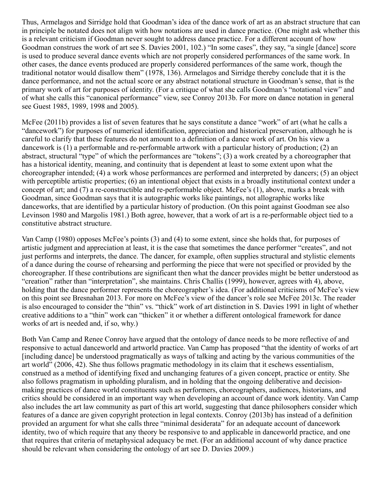Thus, Armelagos and Sirridge hold that Goodman's idea of the dance work of art as an abstract structure that can in principle be notated does not align with how notations are used in dance practice. (One might ask whether this is a relevant criticism if Goodman never sought to address dance practice. For a different account of how Goodman construes the work of art see S. Davies 2001, 102.) "In some cases", they say, "a single [dance] score is used to produce several dance events which are not properly considered performances of the same work. In other cases, the dance events produced are properly considered performances of the same work, though the traditional notator would disallow them" (1978, 136). Armelagos and Sirridge thereby conclude that it is the dance performance, and not the actual score or any abstract notational structure in Goodman's sense, that is the primary work of art for purposes of identity. (For a critique of what she calls Goodman's "notational view" and of what she calls this "canonical performance" view, see Conroy 2013b. For more on dance notation in general see Guest 1985, 1989, 1998 and 2005).

McFee (2011b) provides a list of seven features that he says constitute a dance "work" of art (what he calls a "dancework") for purposes of numerical identification, appreciation and historical preservation, although he is careful to clarify that these features do not amount to a definition of a dance work of art. On his view a dancework is (1) a performable and re-performable artwork with a particular history of production; (2) an abstract, structural "type" of which the performances are "tokens"; (3) a work created by a choreographer that has a historical identity, meaning, and continuity that is dependent at least to some extent upon what the choreographer intended; (4) a work whose performances are performed and interpreted by dancers; (5) an object with perceptible artistic properties; (6) an intentional object that exists in a broadly institutional context under a concept of art; and (7) a re-constructible and re-performable object. McFee's (1), above, marks a break with Goodman, since Goodman says that it is autographic works like paintings, not allographic works like danceworks, that are identified by a particular history of production. (On this point against Goodman see also Levinson 1980 and Margolis 1981.) Both agree, however, that a work of art is a re-performable object tied to a constitutive abstract structure.

Van Camp (1980) opposes McFee's points (3) and (4) to some extent, since she holds that, for purposes of artistic judgment and appreciation at least, it is the case that sometimes the dance performer "creates", and not just performs and interprets, the dance. The dancer, for example, often supplies structural and stylistic elements of a dance during the course of rehearsing and performing the piece that were not specified or provided by the choreographer. If these contributions are significant then what the dancer provides might be better understood as "creation" rather than "interpretation", she maintains. Chris Challis (1999), however, agrees with 4), above, holding that the dance performer represents the choreographer's idea. (For additional criticisms of McFee's view on this point see Bresnahan 2013. For more on McFee's view of the dancer's role see McFee 2013c. The reader is also encouraged to consider the "thin" vs. "thick" work of art distinction in S. Davies 1991 in light of whether creative additions to a "thin" work can "thicken" it or whether a different ontological framework for dance works of art is needed and, if so, why.)

Both Van Camp and Renee Conroy have argued that the ontology of dance needs to be more reflective of and responsive to actual danceworld and artworld practice. Van Camp has proposed "that the identity of works of art [including dance] be understood pragmatically as ways of talking and acting by the various communities of the art world" (2006, 42). She thus follows pragmatic methodology in its claim that it eschews essentialism, construed as a method of identifying fixed and unchanging features of a given concept, practice or entity. She also follows pragmatism in upholding pluralism, and in holding that the ongoing deliberative and decisionmaking practices of dance world constituents such as performers, choreographers, audiences, historians, and critics should be considered in an important way when developing an account of dance work identity. Van Camp also includes the art law community as part of this art world, suggesting that dance philosophers consider which features of a dance are given copyright protection in legal contexts. Conroy (2013b) has instead of a definition provided an argument for what she calls three "minimal desiderata" for an adequate account of dancework identity, two of which require that any theory be responsive to and applicable in danceworld practice, and one that requires that criteria of metaphysical adequacy be met. (For an additional account of why dance practice should be relevant when considering the ontology of art see D. Davies 2009.)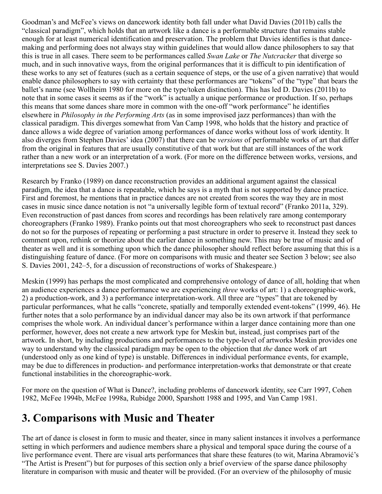Goodman's and McFee's views on dancework identity both fall under what David Davies (2011b) calls the "classical paradigm", which holds that an artwork like a dance is a performable structure that remains stable enough for at least numerical identification and preservation. The problem that Davies identifies is that dancemaking and performing does not always stay within guidelines that would allow dance philosophers to say that this is true in all cases. There seem to be performances called *Swan Lake* or *The Nutcracker* that diverge so much, and in such innovative ways, from the original performances that it is difficult to pin identification of these works to any set of features (such as a certain sequence of steps, or the use of a given narrative) that would enable dance philosophers to say with certainty that these performances are "tokens" of the "type" that bears the ballet's name (see Wollheim 1980 for more on the type/token distinction). This has led D. Davies (2011b) to note that in some cases it seems as if the "work" is actually a unique performance or production. If so, perhaps this means that some dances share more in common with the one-off "work performance" he identifies elsewhere in *Philosophy in the Performing Arts* (as in some improvised jazz performances) than with the classical paradigm. This diverges somewhat from Van Camp 1998, who holds that the history and practice of dance allows a wide degree of variation among performances of dance works without loss of work identity. It also diverges from Stephen Davies' idea (2007) that there can be *versions* of performable works of art that differ from the original in features that are usually constitutive of that work but that are still instances of the work rather than a new work or an interpretation of a work. (For more on the difference between works, versions, and interpretations see S. Davies 2007.)

Research by Franko (1989) on dance reconstruction provides an additional argument against the classical paradigm, the idea that a dance is repeatable, which he says is a myth that is not supported by dance practice. First and foremost, he mentions that in practice dances are not created from scores the way they are in most cases in music since dance notation is not "a universally legible form of textual record" (Franko 2011a, 329). Even reconstruction of past dances from scores and recordings has been relatively rare among contemporary choreographers (Franko 1989). Franko points out that most choreographers who seek to reconstruct past dances do not so for the purposes of repeating or performing a past structure in order to preserve it. Instead they seek to comment upon, rethink or theorize about the earlier dance in something new. This may be true of music and of theater as well and it is something upon which the dance philosopher should reflect before assuming that this is a distinguishing feature of dance. (For more on comparisons with music and theater see Section 3 below; see also S. Davies 2001, 242–5, for a discussion of reconstructions of works of Shakespeare.)

Meskin (1999) has perhaps the most complicated and comprehensive ontology of dance of all, holding that when an audience experiences a dance performance we are experiencing *three* works of art: 1) a choreographic-work, 2) a production-work, and 3) a performance interpretation-work. All three are "types" that are tokened by particular performances, what he calls "concrete, spatially and temporally extended event-tokens" (1999, 46). He further notes that a solo performance by an individual dancer may also be its own artwork if that performance comprises the whole work. An individual dancer's performance within a larger dance containing more than one performer, however, does not create a new artwork type for Meskin but, instead, just comprises part of the artwork. In short, by including productions and performances to the type-level of artworks Meskin provides one way to understand why the classical paradigm may be open to the objection that *the* dance work of art (understood only as one kind of type) is unstable. Differences in individual performance events, for example, may be due to differences in production- and performance interpretation-works that demonstrate or that create functional instabilities in the choreographic-work.

For more on the question of What is Dance?, including problems of dancework identity, see Carr 1997, Cohen 1982, McFee 1994b, McFee 1998a, Rubidge 2000, Sparshott 1988 and 1995, and Van Camp 1981.

### <span id="page-5-0"></span>**3. Comparisons with Music and Theater**

The art of dance is closest in form to music and theater, since in many salient instances it involves a performance setting in which performers and audience members share a physical and temporal space during the course of a live performance event. There are visual arts performances that share these features (to wit, Marina Abramović's "The Artist is Present") but for purposes of this section only a brief overview of the sparse dance philosophy literature in comparison with music and theater will be provided. (For an overview of the philosophy of music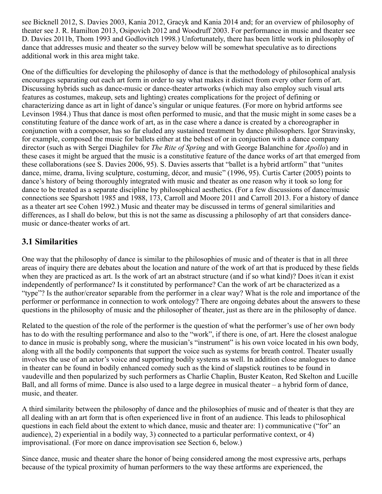see Bicknell 2012, S. Davies 2003, Kania 2012, Gracyk and Kania 2014 and; for an overview of philosophy of theater see J. R. Hamilton 2013, Osipovich 2012 and Woodruff 2003. For performance in music and theater see D. Davies 2011b, Thom 1993 and Godlovitch 1998.) Unfortunately, there has been little work in philosophy of dance that addresses music and theater so the survey below will be somewhat speculative as to directions additional work in this area might take.

One of the difficulties for developing the philosophy of dance is that the methodology of philosophical analysis encourages separating out each art form in order to say what makes it distinct from every other form of art. Discussing hybrids such as dance-music or dance-theater artworks (which may also employ such visual arts features as costumes, makeup, sets and lighting) creates complications for the project of defining or characterizing dance as art in light of dance's singular or unique features. (For more on hybrid artforms see Levinson 1984.) Thus that dance is most often performed to music, and that the music might in some cases be a constituting feature of the dance work of art, as in the case where a dance is created by a choreographer in conjunction with a composer, has so far eluded any sustained treatment by dance philosophers. Igor Stravinsky, for example, composed the music for ballets either at the behest of or in conjuction with a dance company director (such as with Sergei Diaghilev for *The Rite of Spring* and with George Balanchine for *Apollo*) and in these cases it might be argued that the music is a constitutive feature of the dance works of art that emerged from these collaborations (see S. Davies 2006, 95). S. Davies asserts that "ballet is a hybrid artform" that "unites dance, mime, drama, living sculpture, costuming, décor, and music" (1996, 95). Curtis Carter (2005) points to dance's history of being thoroughly integrated with music and theater as one reason why it took so long for dance to be treated as a separate discipline by philosophical aesthetics. (For a few discussions of dance/music connections see Sparshott 1985 and 1988, 173, Carroll and Moore 2011 and Carroll 2013. For a history of dance as a theater art see Cohen 1992.) Music and theater may be discussed in terms of general similarities and differences, as I shall do below, but this is not the same as discussing a philosophy of art that considers dancemusic or dance-theater works of art.

#### <span id="page-6-0"></span>**3.1 Similarities**

One way that the philosophy of dance is similar to the philosophies of music and of theater is that in all three areas of inquiry there are debates about the location and nature of the work of art that is produced by these fields when they are practiced as art. Is the work of art an abstract structure (and if so what kind)? Does it/can it exist independently of performance? Is it constituted by performance? Can the work of art be characterized as a "type"? Is the author/creator separable from the performer in a clear way? What is the role and importance of the performer or performance in connection to work ontology? There are ongoing debates about the answers to these questions in the philosophy of music and the philosopher of theater, just as there are in the philosophy of dance.

Related to the question of the role of the performer is the question of what the performer's use of her own body has to do with the resulting performance and also to the "work", if there is one, of art. Here the closest analogue to dance in music is probably song, where the musician's "instrument" is his own voice located in his own body, along with all the bodily components that support the voice such as systems for breath control. Theater usually involves the use of an actor's voice and supporting bodily systems as well. In addition close analogues to dance in theater can be found in bodily enhanced comedy such as the kind of slapstick routines to be found in vaudeville and then popularized by such performers as Charlie Chaplin, Buster Keaton, Red Skelton and Lucille Ball, and all forms of mime. Dance is also used to a large degree in musical theater – a hybrid form of dance, music, and theater.

A third similarity between the philosophy of dance and the philosophies of music and of theater is that they are all dealing with an art form that is often experienced live in front of an audience. This leads to philosophical questions in each field about the extent to which dance, music and theater are: 1) communicative ("for" an audience), 2) experiential in a bodily way, 3) connected to a particular performative context, or 4) improvisational. (For more on dance improvisation see Section 6, below.)

Since dance, music and theater share the honor of being considered among the most expressive arts, perhaps because of the typical proximity of human performers to the way these artforms are experienced, the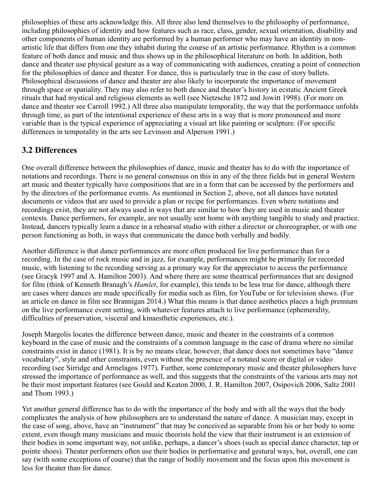philosophies of these arts acknowledge this. All three also lend themselves to the philosophy of performance, including philosophies of identity and how features such as race, class, gender, sexual orientation, disability and other components of human identity are performed by a human performer who may have an identity in nonartistic life that differs from one they inhabit during the course of an artistic performance. Rhythm is a common feature of both dance and music and thus shows up in the philosophical literature on both. In addition, both dance and theater use physical gesture as a way of communicating with audiences, creating a point of connection for the philosophies of dance and theater. For dance, this is particularly true in the case of story ballets. Philosophical discussions of dance and theater are also likely to incorporate the importance of movement through space or spatiality. They may also refer to both dance and theater's history in ecstatic Ancient Greek rituals that had mystical and religious elements as well (see Nietzsche 1872 and Jowitt 1998). (For more on dance and theater see Carroll 1992.) All three also manipulate temporality, the way that the performance unfolds through time, as part of the intentional experience of these arts in a way that is more pronounced and more variable than is the typical experience of appreciating a visual art like painting or sculpture. (For specific differences in temporality in the arts see Levinson and Alperson 1991.)

### <span id="page-7-0"></span>**3.2 Differences**

One overall difference between the philosophies of dance, music and theater has to do with the importance of notations and recordings. There is no general consensus on this in any of the three fields but in general Western art music and theater typically have compositions that are in a form that can be accessed by the performers and by the directors of the performance events. As mentioned in Section 2, above, not all dances have notated documents or videos that are used to provide a plan or recipe for performances. Even where notations and recordings exist, they are not always used in ways that are similar to how they are used in music and theater contexts. Dance performers, for example, are not usually sent home with anything tangible to study and practice. Instead, dancers typically learn a dance in a rehearsal studio with either a director or choreographer, or with one person functioning as both, in ways that communicate the dance both verbally and bodily.

Another difference is that dance performances are more often produced for live performance than for a recording. In the case of rock music and in jazz, for example, performances might be primarily for recorded music, with listening to the recording serving as a primary way for the appreciator to access the performance (see Gracyk 1997 and A. Hamilton 2003). And where there are some theatrical performances that are designed for film (think of Kenneth Branagh's *Hamlet*, for example), this tends to be less true for dance, although there are cases where dances are made specifically for media such as film, for YouTube or for television shows. (For an article on dance in film see Brannigan 2014.) What this means is that dance aesthetics places a high premium on the live performance event setting, with whatever features attach to live performance (ephemerality, difficulties of preservation, visceral and kinaesthetic experiences, etc.).

Joseph Margolis locates the difference between dance, music and theater in the constraints of a common keyboard in the case of music and the constraints of a common language in the case of drama where no similar constraints exist in dance (1981). It is by no means clear, however, that dance does not sometimes have "dance vocabulary", style and other constraints, even without the presence of a notated score or digital or video recording (see Sirridge and Armelagos 1977). Further, some contemporary music and theater philosophers have stressed the importance of performance as well, and this suggests that the constraints of the various arts may not be their most important features (see Gould and Keaton 2000, J. R. Hamilton 2007, Osipovich 2006, Saltz 2001 and Thom 1993.)

Yet another general difference has to do with the importance of the body and with all the ways that the body complicates the analysis of how philosophers are to understand the nature of dance. A musician may, except in the case of song, above, have an "instrument" that may be conceived as separable from his or her body to some extent, even though many musicians and music theorists hold the view that their instrument is an extension of their bodies in some important way, not unlike, perhaps, a dancer's shoes (such as special dance character, tap or pointe shoes). Theater performers often use their bodies in performative and gestural ways, but, overall, one can say (with some exceptions of course) that the range of bodily movement and the focus upon this movement is less for theater than for dance.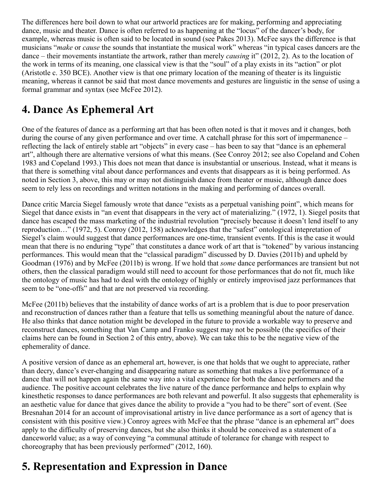The differences here boil down to what our artworld practices are for making, performing and appreciating dance, music and theater. Dance is often referred to as happening at the "locus" of the dancer's body, for example, whereas music is often said to be located in sound (see Pakes 2013). McFee says the difference is that musicians "*make* or *cause* the sounds that instantiate the musical work" whereas "in typical cases dancers are the dance – their movements instantiate the artwork, rather than merely *causing* it" (2012, 2). As to the location of the work in terms of its meaning, one classical view is that the "soul" of a play exists in its "action" or plot (Aristotle c. 350 BCE). Another view is that one primary location of the meaning of theater is its linguistic meaning, whereas it cannot be said that most dance movements and gestures are linguistic in the sense of using a formal grammar and syntax (see McFee 2012).

# <span id="page-8-0"></span>**4. Dance As Ephemeral Art**

One of the features of dance as a performing art that has been often noted is that it moves and it changes, both during the course of any given performance and over time. A catchall phrase for this sort of impermanence – reflecting the lack of entirely stable art "objects" in every case – has been to say that "dance is an ephemeral art", although there are alternative versions of what this means. (See Conroy 2012; see also Copeland and Cohen 1983 and Copeland 1993.) This does not mean that dance is insubstantial or unserious. Instead, what it means is that there is something vital about dance performances and events that disappears as it is being performed. As noted in Section 3, above, this may or may not distinguish dance from theater or music, although dance does seem to rely less on recordings and written notations in the making and performing of dances overall.

Dance critic Marcia Siegel famously wrote that dance "exists as a perpetual vanishing point", which means for Siegel that dance exists in "an event that disappears in the very act of materializing." (1972, 1). Siegel posits that dance has escaped the mass marketing of the industrial revolution "precisely because it doesn't lend itself to any reproduction…" (1972, 5). Conroy (2012, 158) acknowledges that the "safest" ontological intepretation of Siegel's claim would suggest that dance performances are one-time, transient events. If this is the case it would mean that there is no enduring "type" that constitutes a dance work of art that is "tokened" by various instancing performances. This would mean that the "classical paradigm" discussed by D. Davies (2011b) and upheld by Goodman (1976) and by McFee (2011b) is wrong. If we hold that *some* dance performances are transient but not others, then the classical paradigm would still need to account for those performances that do not fit, much like the ontology of music has had to deal with the ontology of highly or entirely improvised jazz performances that seem to be "one-offs" and that are not preserved via recording.

McFee (2011b) believes that the instability of dance works of art is a problem that is due to poor preservation and reconstruction of dances rather than a feature that tells us something meaningful about the nature of dance. He also thinks that dance notation might be developed in the future to provide a workable way to preserve and reconstruct dances, something that Van Camp and Franko suggest may not be possible (the specifics of their claims here can be found in Section 2 of this entry, above). We can take this to be the negative view of the ephemerality of dance.

A positive version of dance as an ephemeral art, however, is one that holds that we ought to appreciate, rather than decry, dance's ever-changing and disappearing nature as something that makes a live performance of a dance that will not happen again the same way into a vital experience for both the dance performers and the audience. The positive account celebrates the live nature of the dance performance and helps to explain why kinesthetic responses to dance performances are both relevant and powerful. It also suggests that ephemerality is an aesthetic value for dance that gives dance the ability to provide a "you had to be there" sort of event. (See Bresnahan 2014 for an account of improvisational artistry in live dance performance as a sort of agency that is consistent with this positive view.) Conroy agrees with McFee that the phrase "dance is an ephemeral art" does apply to the difficulty of preserving dances, but she also thinks it should be conceived as a statement of a danceworld value; as a way of conveying "a communal attitude of tolerance for change with respect to choreography that has been previously performed" (2012, 160).

# <span id="page-8-1"></span>**5. Representation and Expression in Dance**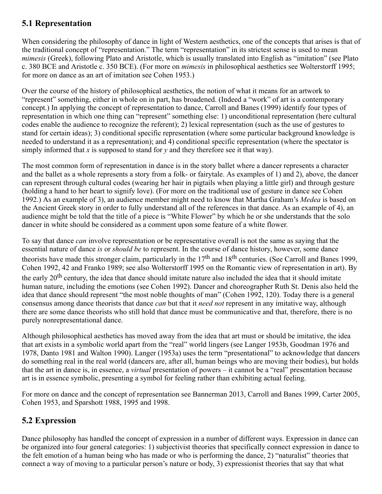### <span id="page-9-0"></span>**5.1 Representation**

When considering the philosophy of dance in light of Western aesthetics, one of the concepts that arises is that of the traditional concept of "representation." The term "representation" in its strictest sense is used to mean *mimesis* (Greek), following Plato and Aristotle, which is usually translated into English as "imitation" (see Plato c. 380 BCE and Aristotle c. 350 BCE). (For more on *mimesis* in philosophical aesthetics see Wolterstorff 1995; for more on dance as an art of imitation see Cohen 1953.)

Over the course of the history of philosophical aesthetics, the notion of what it means for an artwork to "represent" something, either in whole on in part, has broadened. (Indeed a "work" of art is a contemporary concept.) In applying the concept of representation to dance, Carroll and Banes (1999) identify four types of representation in which one thing can "represent" something else: 1) unconditional representation (here cultural codes enable the audience to recognize the referent); 2) lexical representation (such as the use of gestures to stand for certain ideas); 3) conditional specific representation (where some particular background knowledge is needed to understand it as a representation); and 4) conditional specific representation (where the spectator is simply informed that *x* is supposed to stand for *y* and they therefore see it that way).

The most common form of representation in dance is in the story ballet where a dancer represents a character and the ballet as a whole represents a story from a folk- or fairytale. As examples of 1) and 2), above, the dancer can represent through cultural codes (wearing her hair in pigtails when playing a little girl) and through gesture (holding a hand to her heart to signify love). (For more on the traditional use of gesture in dance see Cohen 1992.) As an example of 3), an audience member might need to know that Martha Graham's *Medea* is based on the Ancient Greek story in order to fully understand all of the references in that dance. As an example of 4), an audience might be told that the title of a piece is "White Flower" by which he or she understands that the solo dancer in white should be considered as a comment upon some feature of a white flower.

To say that dance *can* involve representation or be representative overall is not the same as saying that the essential nature of dance *is* or *should be* to represent. In the course of dance history, however, some dance theorists have made this stronger claim, particularly in the  $17<sup>th</sup>$  and  $18<sup>th</sup>$  centuries. (See Carroll and Banes 1999, Cohen 1992, 42 and Franko 1989; see also Wolterstorff 1995 on the Romantic view of representation in art). By the early 20<sup>th</sup> century, the idea that dance should imitate nature also included the idea that it should imitate human nature, including the emotions (see Cohen 1992). Dancer and choreographer Ruth St. Denis also held the idea that dance should represent "the most noble thoughts of man" (Cohen 1992, 120). Today there is a general consensus among dance theorists that dance *can* but that it *need not* represent in any imitative way, although there are some dance theorists who still hold that dance must be communicative and that, therefore, there is no purely nonrepresentational dance.

Although philosophical aesthetics has moved away from the idea that art must or should be imitative, the idea that art exists in a symbolic world apart from the "real" world lingers (see Langer 1953b, Goodman 1976 and 1978, Danto 1981 and Walton 1990). Langer (1953a) uses the term "presentational" to acknowledge that dancers do something real in the real world (dancers are, after all, human beings who are moving their bodies), but holds that the art in dance is, in essence, a *virtual* presentation of powers – it cannot be a "real" presentation because art is in essence symbolic, presenting a symbol for feeling rather than exhibiting actual feeling.

For more on dance and the concept of representation see Bannerman 2013, Carroll and Banes 1999, Carter 2005, Cohen 1953, and Sparshott 1988, 1995 and 1998.

### <span id="page-9-1"></span>**5.2 Expression**

Dance philosophy has handled the concept of expression in a number of different ways. Expression in dance can be organized into four general categories: 1) subjectivist theories that specifically connect expression in dance to the felt emotion of a human being who has made or who is performing the dance, 2) "naturalist" theories that connect a way of moving to a particular person's nature or body, 3) expressionist theories that say that what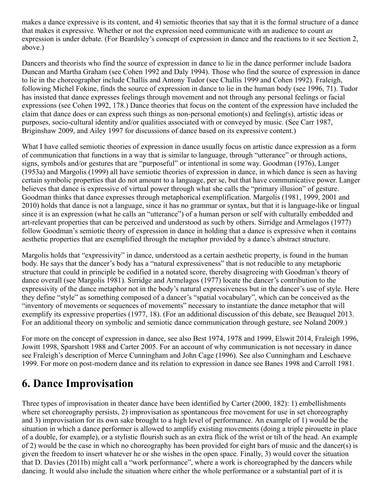makes a dance expressive is its content, and 4) semiotic theories that say that it is the formal structure of a dance that makes it expressive. Whether or not the expression need communicate with an audience to count *as* expression is under debate. (For Beardsley's concept of expression in dance and the reactions to it see Section 2, above.)

Dancers and theorists who find the source of expression in dance to lie in the dance performer include Isadora Duncan and Martha Graham (see Cohen 1992 and Daly 1994). Those who find the source of expression in dance to lie in the choreographer include Challis and Antony Tudor (see Challis 1999 and Cohen 1992). Fraleigh, following Michel Fokine, finds the source of expression in dance to lie in the human body (see 1996, 71). Tudor has insisted that dance expresses feelings through movement and not through any personal feelings or facial expressions (see Cohen 1992, 178.) Dance theories that focus on the content of the expression have included the claim that dance does or can express such things as non-personal emotion(s) and feeling(s), artistic ideas or purposes, socio-cultural identity and/or qualities associated with or conveyed by music. (See Carr 1987, Briginshaw 2009, and Ailey 1997 for discussions of dance based on its expressive content.)

What I have called semiotic theories of expression in dance usually focus on artistic dance expression as a form of communication that functions in a way that is similar to language, through "utterance" or through actions, signs, symbols and/or gestures that are "purposeful" or intentional in some way. Goodman (1976), Langer (1953a) and Margolis (1999) all have semiotic theories of expression in dance, in which dance is seen as having certain symbolic properties that do not amount to a language, per se, but that have communicative power. Langer believes that dance is expressive of virtual power through what she calls the "primary illusion" of gesture. Goodman thinks that dance expresses through metaphorical exemplification. Margolis (1981, 1999, 2001 and 2010) holds that dance is not a language, since it has no grammar or syntax, but that it is language-like or lingual since it is an expression (what he calls an "utterance") of a human person or self with culturally embedded and art-relevant properties that can be perceived and understood as such by others. Sirridge and Armelagos (1977) follow Goodman's semiotic theory of expression in dance in holding that a dance is expressive when it contains aesthetic properties that are exemplified through the metaphor provided by a dance's abstract structure.

Margolis holds that "expressivity" in dance, understood as a certain aesthetic property, is found in the human body. He says that the dancer's body has a "natural expressiveness" that is not reducible to any metaphoric structure that could in principle be codified in a notated score, thereby disagreeing with Goodman's theory of dance overall (see Margolis 1981). Sirridge and Armelagos (1977) locate the dancer's contribution to the expressivity of the dance metaphor not in the body's natural expressiveness but in the dancer's use of style. Here they define "style" as something composed of a dancer's "spatial vocabulary", which can be conceived as the "inventory of movements or sequences of movements" necessary to instantiate the dance metaphor that will exemplify its expressive properties (1977, 18). (For an additional discussion of this debate, see Beauquel 2013. For an additional theory on symbolic and semiotic dance communication through gesture, see Noland 2009.)

For more on the concept of expression in dance, see also Best 1974, 1978 and 1999, Elswit 2014, Fraleigh 1996, Jowitt 1998, Sparshott 1988 and Carter 2005. For an account of why communication is not necessary in dance see Fraleigh's description of Merce Cunningham and John Cage (1996). See also Cunningham and Leschaeve 1999. For more on post-modern dance and its relation to expression in dance see Banes 1998 and Carroll 1981.

### <span id="page-10-0"></span>**6. Dance Improvisation**

Three types of improvisation in theater dance have been identified by Carter (2000, 182): 1) embellishments where set choreography persists, 2) improvisation as spontaneous free movement for use in set choreography and 3) improvisation for its own sake brought to a high level of performance. An example of 1) would be the situation in which a dance performer is allowed to amplify existing movements (doing a triple pirouette in place of a double, for example), or a stylistic flourish such as an extra flick of the wrist or tilt of the head. An example of 2) would be the case in which no choreography has been provided for eight bars of music and the dancer(s) is given the freedom to insert whatever he or she wishes in the open space. Finally, 3) would cover the situation that D. Davies (2011b) might call a "work performance", where a work is choreographed by the dancers while dancing. It would also include the situation where either the whole performance or a substantial part of it is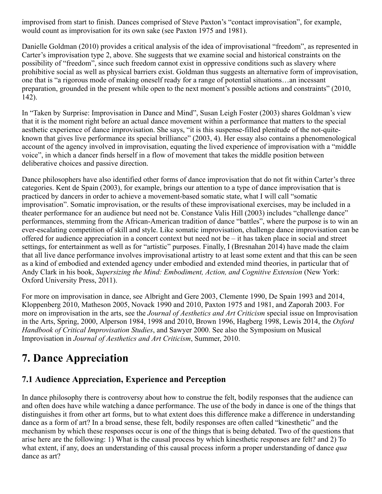improvised from start to finish. Dances comprised of Steve Paxton's "contact improvisation", for example, would count as improvisation for its own sake (see Paxton 1975 and 1981).

Danielle Goldman (2010) provides a critical analysis of the idea of improvisational "freedom", as represented in Carter's improvisation type 2, above. She suggests that we examine social and historical constraints on the possibility of "freedom", since such freedom cannot exist in oppressive conditions such as slavery where prohibitive social as well as physical barriers exist. Goldman thus suggests an alternative form of improvisation, one that is "a rigorous mode of making oneself ready for a range of potential situations…an incessant preparation, grounded in the present while open to the next moment's possible actions and constraints" (2010, 142).

In "Taken by Surprise: Improvisation in Dance and Mind", Susan Leigh Foster (2003) shares Goldman's view that it is the moment right before an actual dance movement within a performance that matters to the special aesthetic experience of dance improvisation. She says, "it is this suspense-filled plenitude of the not-quiteknown that gives live performance its special brilliance" (2003, 4). Her essay also contains a phenomenological account of the agency involved in improvisation, equating the lived experience of improvisation with a "middle voice", in which a dancer finds herself in a flow of movement that takes the middle position between deliberative choices and passive direction.

Dance philosophers have also identified other forms of dance improvisation that do not fit within Carter's three categories. Kent de Spain (2003), for example, brings our attention to a type of dance improvisation that is practiced by dancers in order to achieve a movement-based somatic state, what I will call "somatic improvisation". Somatic improvisation, or the results of these improvisational exercises, may be included in a theater performance for an audience but need not be. Constance Valis Hill (2003) includes "challenge dance" performances, stemming from the African-American tradition of dance "battles", where the purpose is to win an ever-escalating competition of skill and style. Like somatic improvisation, challenge dance improvisation can be offered for audience appreciation in a concert context but need not be – it has taken place in social and street settings, for entertainment as well as for "artistic" purposes. Finally, I (Bresnahan 2014) have made the claim that all live dance performance involves improvisational artistry to at least some extent and that this can be seen as a kind of embodied and extended agency under embodied and extended mind theories, in particular that of Andy Clark in his book, *Supersizing the Mind: Embodiment, Action, and Cognitive Extension* (New York: Oxford University Press, 2011).

For more on improvisation in dance, see Albright and Gere 2003, Clemente 1990, De Spain 1993 and 2014, Kloppenberg 2010, Matheson 2005, Novack 1990 and 2010, Paxton 1975 and 1981, and Zaporah 2003. For more on improvisation in the arts, see the *Journal of Aesthetics and Art Criticism* special issue on Improvisation in the Arts, Spring, 2000, Alperson 1984, 1998 and 2010, Brown 1996, Hagberg 1998, Lewis 2014, the *Oxford Handbook of Critical Improvisation Studies*, and Sawyer 2000. See also the Symposium on Musical Improvisation in *Journal of Aesthetics and Art Criticism*, Summer, 2010.

# <span id="page-11-0"></span>**7. Dance Appreciation**

### <span id="page-11-1"></span>**7.1 Audience Appreciation, Experience and Perception**

In dance philosophy there is controversy about how to construe the felt, bodily responses that the audience can and often does have while watching a dance performance. The use of the body in dance is one of the things that distinguishes it from other art forms, but to what extent does this difference make a difference in understanding dance as a form of art? In a broad sense, these felt, bodily responses are often called "kinesthetic" and the mechanism by which these responses occur is one of the things that is being debated. Two of the questions that arise here are the following: 1) What is the causal process by which kinesthetic responses are felt? and 2) To what extent, if any, does an understanding of this causal process inform a proper understanding of dance *qua* dance as art?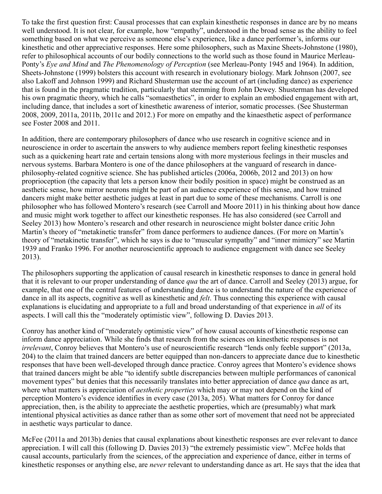To take the first question first: Causal processes that can explain kinesthetic responses in dance are by no means well understood. It is not clear, for example, how "empathy", understood in the broad sense as the ability to feel something based on what we perceive as someone else's experience, like a dance performer's, informs our kinesthetic and other appreciative responses. Here some philosophers, such as Maxine Sheets-Johnstone (1980), refer to philosophical accounts of our bodily connections to the world such as those found in Maurice Merleau-Ponty's *Eye and Mind* and *The Phenomenology of Perception* (see Merleau-Ponty 1945 and 1964)*.* In addition, Sheets-Johnstone (1999) bolsters this account with research in evolutionary biology. Mark Johnson (2007, see also Lakoff and Johnson 1999) and Richard Shusterman use the account of art (including dance) as experience that is found in the pragmatic tradition, particularly that stemming from John Dewey. Shusterman has developed his own pragmatic theory, which he calls "somaesthetics", in order to explain an embodied engagement with art, including dance, that includes a sort of kinesthetic awareness of interior, somatic processes. (See Shusterman 2008, 2009, 2011a, 2011b, 2011c and 2012.) For more on empathy and the kinaesthetic aspect of performance see Foster 2008 and 2011.

In addition, there are contemporary philosophers of dance who use research in cognitive science and in neuroscience in order to ascertain the answers to why audience members report feeling kinesthetic responses such as a quickening heart rate and certain tensions along with more mysterious feelings in their muscles and nervous systems. Barbara Montero is one of the dance philosophers at the vanguard of research in dancephilosophy-related cognitive science. She has published articles (2006a, 2006b, 2012 and 2013) on how proprioception (the capacity that lets a person know their bodily position in space) might be construed as an aesthetic sense, how mirror neurons might be part of an audience experience of this sense, and how trained dancers might make better aesthetic judges at least in part due to some of these mechanisms. Carroll is one philosopher who has followed Montero's research (see Carroll and Moore 2011) in his thinking about how dance and music might work together to affect our kinesthetic responses. He has also considered (see Carroll and Seeley 2013) how Montero's research and other research in neuroscience might bolster dance critic John Martin's theory of "metakinetic transfer" from dance performers to audience dances. (For more on Martin's theory of "metakinetic transfer", which he says is due to "muscular sympathy" and "inner mimicry" see Martin 1939 and Franko 1996. For another neuroscientific approach to audience engagement with dance see Seeley 2013).

The philosophers supporting the application of causal research in kinesthetic responses to dance in general hold that it is relevant to our proper understanding of dance *qua* the art of dance. Carroll and Seeley (2013) argue, for example, that one of the central features of understanding dance is to understand the nature of the experience of dance in all its aspects, cognitive as well as kinesthetic and *felt*. Thus connecting this experience with causal explanations is elucidating and appropriate to a full and broad understanding of that experience in *all* of its aspects. I will call this the "moderately optimistic view", following D. Davies 2013.

Conroy has another kind of "moderately optimistic view" of how causal accounts of kinesthetic response can inform dance appreciation. While she finds that research from the sciences on kinesthetic responses is not *irrelevant*, Conroy believes that Montero's use of neuroscientific research "lends only feeble support" (2013a, 204) to the claim that trained dancers are better equipped than non-dancers to appreciate dance due to kinesthetic responses that have been well-developed through dance practice. Conroy agrees that Montero's evidence shows that trained dancers might be able "to identify subtle discrepancies between multiple performances of canonical movement types" but denies that this necessarily translates into better appreciation of dance *qua* dance as art, where what matters is appreciation of *aesthetic properties* which may or may not depend on the kind of perception Montero's evidence identifies in every case (2013a, 205). What matters for Conroy for dance appreciation, then, is the ability to appreciate the aesthetic properties, which are (presumably) what mark intentional physical activities as dance rather than as some other sort of movement that need not be appreciated in aesthetic ways particular to dance.

McFee (2011a and 2013b) denies that causal explanations about kinesthetic responses are ever relevant to dance appreciation. I will call this (following D. Davies 2013) "the extremely pessimistic view". McFee holds that causal accounts, particularly from the sciences, of the appreciation and experience of dance, either in terms of kinesthetic responses or anything else, are *never* relevant to understanding dance as art. He says that the idea that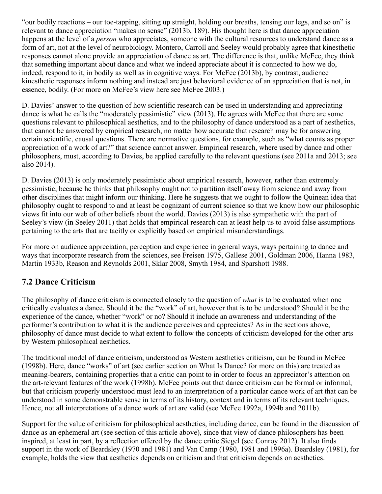"our bodily reactions – our toe-tapping, sitting up straight, holding our breaths, tensing our legs, and so on" is relevant to dance appreciation "makes no sense" (2013b, 189). His thought here is that dance appreciation happens at the level of a *person* who appreciates, someone with the cultural resources to understand dance as a form of art, not at the level of neurobiology. Montero, Carroll and Seeley would probably agree that kinesthetic responses cannot alone provide an appreciation of dance as art. The difference is that, unlike McFee, they think that something important about dance and what we indeed appreciate about it is connected to how we do, indeed, respond to it, in bodily as well as in cognitive ways. For McFee (2013b), by contrast, audience kinesthetic responses inform nothing and instead are just behavioral evidence of an appreciation that is not, in essence, bodily. (For more on McFee's view here see McFee 2003.)

D. Davies' answer to the question of how scientific research can be used in understanding and appreciating dance is what he calls the "moderately pessimistic" view (2013). He agrees with McFee that there are some questions relevant to philosophical aesthetics, and to the philosophy of dance understood as a part of aesthetics, that cannot be answered by empirical research, no matter how accurate that research may be for answering certain scientific, causal questions. There are normative questions, for example, such as "what counts as proper appreciation of a work of art?" that science cannot answer. Empirical research, where used by dance and other philosophers, must, according to Davies, be applied carefully to the relevant questions (see 2011a and 2013; see also 2014).

D. Davies (2013) is only moderately pessimistic about empirical research, however, rather than extremely pessimistic, because he thinks that philosophy ought not to partition itself away from science and away from other disciplines that might inform our thinking. Here he suggests that we ought to follow the Quinean idea that philosophy ought to respond to and at least be cognizant of current science so that we know how our philosophic views fit into our web of other beliefs about the world. Davies (2013) is also sympathetic with the part of Seeley's view (in Seeley 2011) that holds that empirical research can at least help us to avoid false assumptions pertaining to the arts that are tacitly or explicitly based on empirical misunderstandings.

For more on audience appreciation, perception and experience in general ways, ways pertaining to dance and ways that incorporate research from the sciences, see Freisen 1975, Gallese 2001, Goldman 2006, Hanna 1983, Martin 1933b, Reason and Reynolds 2001, Sklar 2008, Smyth 1984, and Sparshott 1988.

### <span id="page-13-0"></span>**7.2 Dance Criticism**

The philosophy of dance criticism is connected closely to the question of *what* is to be evaluated when one critically evaluates a dance. Should it be the "work" of art, however that is to be understood? Should it be the experience of the dance, whether "work" or no? Should it include an awareness and understanding of the performer's contribution to what it is the audience perceives and appreciates? As in the sections above, philosophy of dance must decide to what extent to follow the concepts of criticism developed for the other arts by Western philosophical aesthetics.

The traditional model of dance criticism, understood as Western aesthetics criticism, can be found in McFee (1998b). Here, dance "works" of art (see earlier section on What Is Dance? for more on this) are treated as meaning-bearers, containing properties that a critic can point to in order to focus an appreciator's attention on the art-relevant features of the work (1998b). McFee points out that dance criticism can be formal or informal, but that criticism properly understood must lead to an interpretation of a particular dance work of art that can be understood in some demonstrable sense in terms of its history, context and in terms of its relevant techniques. Hence, not all interpretations of a dance work of art are valid (see McFee 1992a, 1994b and 2011b).

Support for the value of criticism for philosophical aesthetics, including dance, can be found in the discussion of dance as an ephemeral art (see section of this article above), since that view of dance philosophers has been inspired, at least in part, by a reflection offered by the dance critic Siegel (see Conroy 2012). It also finds support in the work of Beardsley (1970 and 1981) and Van Camp (1980, 1981 and 1996a). Beardsley (1981), for example, holds the view that aesthetics depends on criticism and that criticism depends on aesthetics.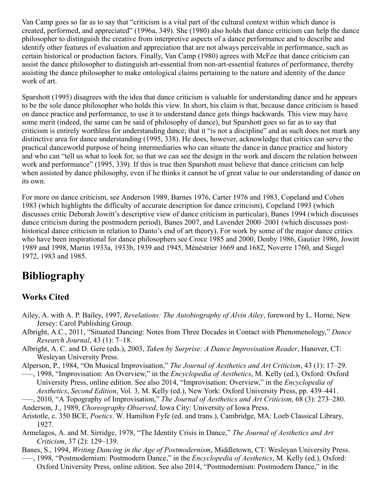Van Camp goes so far as to say that "criticism is a vital part of the cultural context within which dance is created, performed, and appreciated" (1996a, 349). She (1980) also holds that dance criticism can help the dance philosopher to distinguish the creative from interpretive aspects of a dance performance and to describe and identify other features of evaluation and appreciation that are not always perceivable in performance, such as certain historical or production factors. Finally, Van Camp (1980) agrees with McFee that dance criticism can assist the dance philosopher to distinguish art-essential from non-art-essential features of performance, thereby assisting the dance philosopher to make ontological claims pertaining to the nature and identity of the dance work of art.

Sparshott (1995) disagrees with the idea that dance criticism is valuable for understanding dance and he appears to be the sole dance philosopher who holds this view. In short, his claim is that, because dance criticism is based on dance practice and performance, to use it to understand dance gets things backwards. This view may have some merit (indeed, the same can be said of philosophy of dance), but Sparshott goes so far as to say that criticism is entirely worthless for understanding dance; that it "is not a discipline" and as such does not mark any distinctive area for dance understanding (1995, 338). He does, however, acknowledge that critics can serve the practical danceworld purpose of being intermediaries who can situate the dance in dance practice and history and who can "tell us what to look for, so that we can see the design in the work and discern the relation between work and performance" (1995, 339). If this is true then Sparshott must believe that dance criticism can help when assisted by dance philosophy, even if he thinks it cannot be of great value to our understanding of dance on its own.

For more on dance criticism, see Anderson 1989, Barnes 1976, Carter 1976 and 1983, Copeland and Cohen 1983 (which highlights the difficulty of accurate description for dance criticism), Copeland 1993 (which discusses critic Deborah Jowitt's descriptive view of dance criticism in particular), Banes 1994 (which discusses dance criticism during the postmodern period), Banes 2007, and Lavender 2000–2001 (which discusses posthistorical dance criticism in relation to Danto's end of art theory). For work by some of the major dance critics who have been inspirational for dance philosophers see Croce 1985 and 2000, Denby 1986, Gautier 1986, Jowitt 1989 and 1998, Martin 1933a, 1933b, 1939 and 1945, Ménéstrier 1669 and 1682, Noverre 1760, and Siegel 1972, 1983 and 1985.

# <span id="page-14-0"></span>**Bibliography**

### **Works Cited**

- Ailey, A. with A. P. Bailey, 1997, *Revelations: The Autobiography of Alvin Ailey*, foreword by L. Horne, New Jersey: Carol Publishing Group.
- Albright, A.C., 2011, "Situated Dancing: Notes from Three Decades in Contact with Phenomenology," *Dance Research Journal*, 43 (1): 7–18.
- Albright, A. C. and D. Gere (eds.), 2003, *Taken by Surprise: A Dance Improvisation Reader*, Hanover, CT: Wesleyan University Press.
- Alperson, P., 1984, "On Musical Improvisation," *The Journal of Aesthetics and Art Criticism*, 43 (1): 17–29.
- –––, 1998, "Improvisation: An Overview," in the *Encyclopedia of Aesthetics*, M. Kelly (ed.), Oxford: Oxford University Press, online edition. See also 2014, "Improvisation: Overview," in the *Encyclopedia of Aesthetics*, *Second Edition*, Vol. 3, M. Kelly (ed.), New York: Oxford University Press, pp. 439–441.
- –––, 2010, "A Topography of Improvisation," *The Journal of Aesthetics and Art Criticism*, 68 (3): 273–280. Anderson, J., 1989, *Choreography Observed*, Iowa City: University of Iowa Press.
- Aristotle, c. 350 BCE, *Poetics*. W. Hamilton Fyfe (ed. and trans.), Cambridge, MA: Loeb Classical Library, 1927.
- Armelagos, A. and M. Sirridge, 1978, "The Identity Crisis in Dance," *The Journal of Aesthetics and Art Criticism*, 37 (2): 129–139.
- Banes, S., 1994, *Writing Dancing in the Age of Postmodernism*, Middletown, CT: Wesleyan University Press. –––, 1998, "Postmodernism: Postmodern Dance," in the *Encyclopedia of Aesthetics*, M. Kelly (ed.), Oxford:
	- Oxford University Press, online edition. See also 2014, "Postmodernism: Postmodern Dance," in the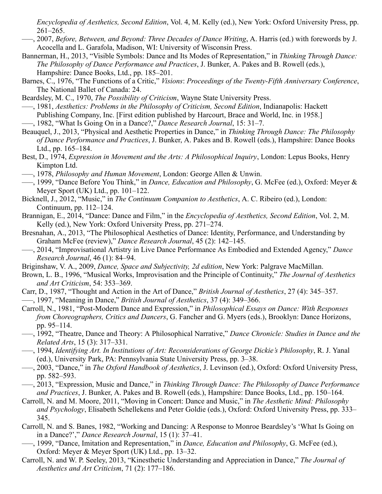*Encyclopedia of Aesthetics, Second Edition*, Vol. 4, M. Kelly (ed.), New York: Oxford University Press, pp. 261–265.

- –––, 2007, *Before, Between, and Beyond: Three Decades of Dance Writing*, A. Harris (ed.) with forewords by J. Acocella and L. Garafola, Madison, WI: University of Wisconsin Press.
- Bannerman, H., 2013, "Visible Symbols: Dance and Its Modes of Representation," in *Thinking Through Dance: The Philosophy of Dance Performance and Practices*, J. Bunker, A. Pakes and B. Rowell (eds.), Hampshire: Dance Books, Ltd., pp. 185–201.
- Barnes, C., 1976, "The Functions of a Critic," *Visions*: *Proceedings of the Twenty-Fifth Anniversary Conference*, The National Ballet of Canada: 24.
- Beardsley, M. C., 1970, *The Possibility of Criticism*, Wayne State University Press.
- –––, 1981, *Aesthetics: Problems in the Philosophy of Criticism, Second Edition*, Indianapolis: Hackett Publishing Company, Inc. [First edition published by Harcourt, Brace and World, Inc. in 1958.] –––, 1982, "What Is Going On in a Dance?," *Dance Research Journal*, 15: 31–7.
- Beauquel, J., 2013, "Physical and Aesthetic Properties in Dance," in *Thinking Through Dance: The Philosophy of Dance Performance and Practices*, J. Bunker, A. Pakes and B. Rowell (eds.), Hampshire: Dance Books Ltd., pp. 165–184.
- Best, D., 1974, *Expression in Movement and the Arts: A Philosophical Inquiry*, London: Lepus Books, Henry Kimpton Ltd.
- –––, 1978, *Philosophy and Human Movement*, London: George Allen & Unwin.
- –––, 1999, "Dance Before You Think," in *Dance, Education and Philosophy*, G. McFee (ed.), Oxford: Meyer & Meyer Sport (UK) Ltd., pp. 101–122.
- Bicknell, J., 2012, "Music," in *The Continuum Companion to Aesthetics*, A. C. Ribeiro (ed.), London: Continuum, pp. 112–124.
- Brannigan, E., 2014, "Dance: Dance and Film," in the *Encyclopedia of Aesthetics, Second Edition*, Vol. 2, M. Kelly (ed.), New York: Oxford University Press, pp. 271–274.
- Bresnahan, A., 2013, "The Philosophical Aesthetics of Dance: Identity, Performance, and Understanding by Graham McFee (review)," *Dance Research Journal*, 45 (2): 142–145.
- –––, 2014, "Improvisational Artistry in Live Dance Performance As Embodied and Extended Agency," *Dance Research Journal*, 46 (1): 84–94.
- Briginshaw, V. A., 2009, *Dance, Space and Subjectivity, 2d edition*, New York: Palgrave MacMillan.
- Brown, L. B., 1996, "Musical Works, Improvisation and the Principle of Continuity," *The Journal of Aesthetics and Art Criticism*, 54: 353–369.
- Carr, D., 1987, "Thought and Action in the Art of Dance," *British Journal of Aesthetics*, 27 (4): 345–357.
- –––, 1997, "Meaning in Dance," *British Journal of Aesthetics*, 37 (4): 349–366.
- Carroll, N., 1981, "Post-Modern Dance and Expression," in *Philosophical Essays on Dance: With Responses from Choreographers, Critics and Dancers*, G. Fancher and G. Myers (eds.), Brooklyn: Dance Horizons, pp. 95–114.
- –––, 1992, "Theatre, Dance and Theory: A Philosophical Narrative," *Dance Chronicle: Studies in Dance and the Related Arts*, 15 (3): 317–331.
- –––, 1994, *Identifying Art. In Institutions of Art: Reconsiderations of George Dickie's Philosophy*, R. J. Yanal (ed.), University Park, PA: Pennsylvania State University Press, pp. 3–38.
- –––, 2003, "Dance," in *The Oxford Handbook of Aesthetics*, J. Levinson (ed.), Oxford: Oxford University Press, pp. 582–593.
- –––, 2013, "Expression, Music and Dance," in *Thinking Through Dance: The Philosophy of Dance Performance and Practices*, J. Bunker, A. Pakes and B. Rowell (eds.), Hampshire: Dance Books, Ltd., pp. 150–164.
- Carroll, N. and M. Moore, 2011, "Moving in Concert: Dance and Music," in *The Aesthetic Mind: Philosophy and Psychology*, Elisabeth Schellekens and Peter Goldie (eds.), Oxford: Oxford University Press, pp. 333– 345.
- Carroll, N. and S. Banes, 1982, "Working and Dancing: A Response to Monroe Beardsley's 'What Is Going on in a Dance?'," *Dance Research Journal*, 15 (1): 37–41.
- –––, 1999, "Dance, Imitation and Representation," in *Dance, Education and Philosophy*, G. McFee (ed.), Oxford: Meyer & Meyer Sport (UK) Ltd., pp. 13–32.
- Carroll, N. and W. P. Seeley, 2013, "Kinesthetic Understanding and Appreciation in Dance," *The Journal of Aesthetics and Art Criticism*, 71 (2): 177–186.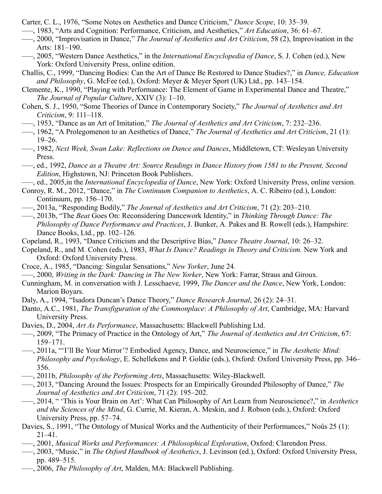- Carter, C. L., 1976, "Some Notes on Aesthetics and Dance Criticism," *Dance Scope*, 10: 35–39.
- –––, 1983, "Arts and Cognition: Performance, Criticism, and Aesthetics," *Art Education*, 36: 61–67.
- –––, 2000, "Improvisation in Dance," *The Journal of Aesthetics and Art Criticism*, 58 (2), Improvisation in the Arts: 181–190.
- –––, 2005, "Western Dance Aesthetics," in the *International Encyclopedia of Dance*, S. J. Cohen (ed.), New York: Oxford University Press, online edition.
- Challis, C., 1999, "Dancing Bodies: Can the Art of Dance Be Restored to Dance Studies?," in *Dance, Education and Philosophy*, G. McFee (ed.), Oxford: Meyer & Meyer Sport (UK) Ltd., pp. 143–154.
- Clemente, K., 1990, "Playing with Performance: The Element of Game in Experimental Dance and Theatre," *The Journal of Popular Culture*, XXIV (3): 1–10.
- Cohen, S. J., 1950, "Some Theories of Dance in Contemporary Society," *The Journal of Aesthetics and Art Criticism*, 9: 111–118.
- –––, 1953, "Dance as an Art of Imitation," *The Journal of Aesthetics and Art Criticism*, 7: 232–236.
- –––, 1962, "A Prolegomenon to an Aesthetics of Dance," *The Journal of Aesthetics and Art Criticism*, 21 (1): 19–26.
- –––, 1982, *Next Week, Swan Lake: Reflections on Dance and Dances*, Middletown, CT: Wesleyan University Press.
- –––, ed., 1992, *Dance as a Theatre Art: Source Readings in Dance History from 1581 to the Present, Second Edition*, Highstown, NJ: Princeton Book Publishers.
- –––, ed., 2005,in the *International Encyclopedia of Dance*, New York: Oxford University Press, online version.
- Conroy, R. M., 2012, "Dance," in *The Continuum Companion to Aesthetics*, A. C. Ribeiro (ed.), London: Continuum, pp. 156–170.
- –––, 2013a, "Responding Bodily," *The Journal of Aesthetics and Art Criticism*, 71 (2): 203–210.
- –––, 2013b, "The *Beat* Goes On: Reconsidering Dancework Identity," in *Thinking Through Dance: The Philosophy of Dance Performance and Practices*, J. Bunker, A. Pakes and B. Rowell (eds.), Hampshire: Dance Books, Ltd., pp. 102–126.
- Copeland, R., 1993, "Dance Criticism and the Descriptive Bias," *Dance Theatre Journal*, 10: 26–32.
- Copeland, R., and M. Cohen (eds.), 1983, *What Is Dance? Readings in Theory and Criticism.* New York and Oxford: Oxford University Press.
- Croce, A., 1985, "Dancing: Singular Sensations," *New Yorker*, June 24*.*
- –––, 2000, *Writing in the Dark: Dancing in The New Yorker*, New York: Farrar, Straus and Giroux.
- Cunningham, M. in conversation with J. Lesschaeve, 1999, *The Dancer and the Dance*, New York, London: Marion Boyars.
- Daly, A., 1994, "Isadora Duncan's Dance Theory," *Dance Research Journal*, 26 (2): 24–31.
- Danto, A.C., 1981, *The Transfiguration of the Commonplace*: *A Philosophy of Art*, Cambridge, MA: Harvard University Press.
- Davies, D., 2004, *Art As Performance*, Massachusetts: Blackwell Publishing Ltd.
- –––, 2009, "The Primacy of Practice in the Ontology of Art," *The Journal of Aesthetics and Art Criticism*, 67: 159–171.
- –––, 2011a, "'I'll Be Your Mirror'? Embodied Agency, Dance, and Neuroscience," in *The Aesthetic Mind: Philosophy and Psychology*, E. Schellekens and P. Goldie (eds.), Oxford: Oxford University Press, pp. 346– 356.
- –––, 2011b, *Philosophy of the Performing Arts*, Massachusetts: Wiley-Blackwell.
- –––, 2013, "Dancing Around the Issues: Prospects for an Empirically Grounded Philosophy of Dance," *The Journal of Aesthetics and Art Criticism*, 71 (2): 195–202.
- –––, 2014, " 'This is Your Brain on Art': What Can Philosophy of Art Learn from Neuroscience?," in *Aesthetics and the Sciences of the Mind*, G. Currie, M. Kieran, A. Meskin, and J. Robson (eds.), Oxford: Oxford University Press, pp. 57–74.
- Davies, S., 1991, "The Ontology of Musical Works and the Authenticity of their Performances," Noûs 25 (1): 21–41.
- –––, 2001, *Musical Works and Performances: A Philosophical Exploration*, Oxford: Clarendon Press.
- –––, 2003, "Music," in *The Oxford Handbook of Aesthetics*, J. Levinson (ed.), Oxford: Oxford University Press, pp. 489–515.
	- –––, 2006, *The Philosophy of Art*, Malden, MA: Blackwell Publishing.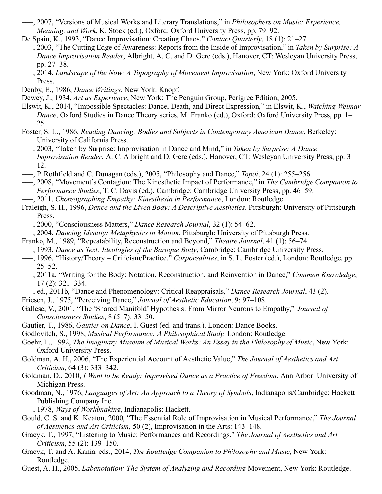- –––, 2007, "Versions of Musical Works and Literary Translations," in *Philosophers on Music: Experience, Meaning, and Work*, K. Stock (ed.), Oxford: Oxford University Press, pp. 79–92.
- De Spain, K., 1993, "Dance Improvisation: Creating Chaos," *Contact Quarterly*, 18 (1): 21–27.
- –––, 2003, "The Cutting Edge of Awareness: Reports from the Inside of Improvisation," in *Taken by Surprise: A Dance Improvisation Reader*, Albright, A. C. and D. Gere (eds.), Hanover, CT: Wesleyan University Press, pp. 27–38.
- –––, 2014, *Landscape of the Now: A Topography of Movement Improvisation*, New York: Oxford University Press.
- Denby, E., 1986, *Dance Writings*, New York: Knopf.
- Dewey, J., 1934, *Art as Experience*, New York: The Penguin Group, Perigree Edition, 2005.
- Elswit, K., 2014, "Impossible Spectacles: Dance, Death, and Direct Expression," in Elswit, K., *Watching Weimar Dance*, Oxford Studies in Dance Theory series, M. Franko (ed.), Oxford: Oxford University Press, pp. 1– 25.
- Foster, S. L., 1986, *Reading Dancing: Bodies and Subjects in Contemporary American Dance*, Berkeley: University of California Press.
- –––, 2003, "Taken by Surprise: Improvisation in Dance and Mind," in *Taken by Surprise: A Dance Improvisation Reader*, A. C. Albright and D. Gere (eds.), Hanover, CT: Wesleyan University Press, pp. 3– 12.
- –––, P. Rothfield and C. Dunagan (eds.), 2005, "Philosophy and Dance," *Topoi*, 24 (1): 255–256.
- –––, 2008, "Movement's Contagion: The Kinesthetic Impact of Performance," in *The Cambridge Companion to Performance Studies*, T. C. Davis (ed.), Cambridge: Cambridge University Press, pp. 46–59.
- –––, 2011, *Choreographing Empathy: Kinesthesia in Performance*, London: Routledge.
- Fraleigh, S. H., 1996, *Dance and the Lived Body: A Descriptive Aesthetics*. Pittsburgh: University of Pittsburgh Press.
- –––, 2000, "Consciousness Matters," *Dance Research Journal*, 32 (1): 54–62.
- –––, 2004, *Dancing Identity: Metaphysics in Motion.* Pittsburgh: University of Pittsburgh Press.
- Franko, M., 1989, "Repeatability, Reconstruction and Beyond," *Theatre Journal*, 41 (1): 56–74.
- –––, 1993, *Dance as Text: Ideologies of the Baroque Body*, Cambridge: Cambridge University Press.
- –––, 1996, "History/Theory Criticism/Practice," *Corporealities*, in S. L. Foster (ed.), London: Routledge, pp. 25–52.
- –––, 2011a, "Writing for the Body: Notation, Reconstruction, and Reinvention in Dance," *Common Knowledge*, 17 (2): 321–334.
- –––, ed., 2011b, "Dance and Phenomenology: Critical Reappraisals," *Dance Research Journal*, 43 (2).
- Friesen, J., 1975, "Perceiving Dance," *Journal of Aesthetic Education*, 9: 97–108.
- Gallese, V., 2001, "The 'Shared Manifold' Hypothesis: From Mirror Neurons to Empathy," *Journal of Consciousness Studies*, 8 (5–7): 33–50.
- Gautier, T., 1986, *Gautier on Dance*, I. Guest (ed. and trans.), London: Dance Books.
- Godlovitch, S., 1998, *Musical Performance: A Philosophical Study.* London: Routledge.
- Goehr, L., 1992, *The Imaginary Museum of Musical Works: An Essay in the Philosophy of Music*, New York: Oxford University Press.
- Goldman, A. H., 2006, "The Experiential Account of Aesthetic Value," *The Journal of Aesthetics and Art Criticism*, 64 (3): 333–342.
- Goldman, D., 2010, *I Want to be Ready: Improvised Dance as a Practice of Freedom*, Ann Arbor: University of Michigan Press.
- Goodman, N., 1976, *Languages of Art: An Approach to a Theory of Symbols*, Indianapolis/Cambridge: Hackett Publishing Company Inc.
- –––, 1978, *Ways of Worldmaking*, Indianapolis: Hackett.
- Gould, C. S. and K. Keaton, 2000, "The Essential Role of Improvisation in Musical Performance," *The Journal of Aesthetics and Art Criticism*, 50 (2), Improvisation in the Arts: 143–148.
- Gracyk, T., 1997, "Listening to Music: Performances and Recordings," *The Journal of Aesthetics and Art Criticism*, 55 (2): 139–150.
- Gracyk, T. and A. Kania, eds., 2014, *The Routledge Companion to Philosophy and Music*, New York: Routledge.
- Guest, A. H., 2005, *Labanotation: The System of Analyzing and Recording* Movement, New York: Routledge.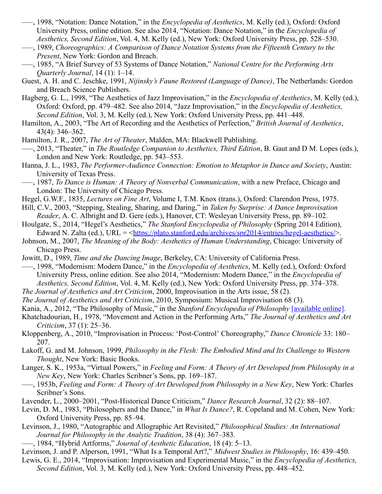- –––, 1998, "Notation: Dance Notation," in the *Encyclopedia of Aesthetics*, M. Kelly (ed.), Oxford: Oxford University Press, online edition. See also 2014, "Notation: Dance Notation," in the *Encyclopedia of Aesthetics, Second Edition*, Vol. 4, M. Kelly (ed.), New York: Oxford University Press, pp. 528–530.
- –––, 1989, *Choreographics: A Comparison of Dance Notation Systems from the Fifteenth Century to the Present*, New York: Gordon and Breach.
- –––, 1985, "A Brief Survey of 53 Systems of Dance Notation," *National Centre for the Performing Arts Quarterly Journal*, 14 (1): 1–14.
- Guest, A. H. and C. Jeschke, 1991, *Nijinsky's Faune Restored (Language of Dance)*, The Netherlands: Gordon and Breach Science Publishers.
- Hagberg, G. L., 1998, "The Aesthetics of Jazz Improvisation," in the *Encyclopedia of Aesthetics*, M. Kelly (ed.), Oxford: Oxford, pp. 479–482. See also 2014, "Jazz Improvisation," in the *Encyclopedia of Aesthetics, Second Edition*, Vol. 3, M. Kelly (ed.), New York: Oxford University Press, pp. 441–448.
- Hamilton, A., 2003, "The Art of Recording and the Aesthetics of Perfection," *British Journal of Aesthetics*, 43(4): 346–362.
- Hamilton, J. R., 2007, *The Art of Theater*, Malden, MA: Blackwell Publishing.
- –––, 2013, "Theater," in *The Routledge Companion to Aesthetics, Third Edition*, B. Gaut and D M. Lopes (eds.), London and New York: Routledge, pp. 543–553.
- Hanna, J. L., 1983, *The Performer-Audience Connection: Emotion to Metaphor in Dance and Society*, Austin: University of Texas Press.
- –––, 1987, *To Dance is Human: A Theory of Nonverbal Communication*, with a new Preface, Chicago and London: The University of Chicago Press.
- Hegel, G.W.F., 1835, *Lectures on Fine Art*, Volume I, T.M. Knox (trans.), Oxford: Clarendon Press, 1975.
- Hill, C.V., 2003, "Stepping, Stealing, Sharing, and Daring," in *Taken by Surprise: A Dance Improvisation Reader*, A. C. Albright and D. Gere (eds.), Hanover, CT: Wesleyan University Press, pp. 89–102.
- Houlgate, S., 2014, "Hegel's Aesthetics," *The Stanford Encyclopedia of Philosophy* (Spring 2014 Edition), Edward N. Zalta (ed.), URL = <[https://plato.stanford.edu/archives/spr2014/entries/hegel-aesthetics/>](https://plato.stanford.edu/archives/spr2014/entries/hegel-aesthetics/).
- Johnson, M., 2007, *The Meaning of the Body: Aesthetics of Human Understanding*, Chicago: University of Chicago Press.
- Jowitt, D., 1989, *Time and the Dancing Image*, Berkeley, CA: University of California Press.
- –––, 1998, "Modernism: Modern Dance," in the *Encyclopedia of Aesthetics*, M. Kelly (ed.), Oxford: Oxford University Press, online edition. See also 2014, "Modernism: Modern Dance," in the *Encyclopedia of Aesthetics, Second Edition*, Vol. 4, M. Kelly (ed.), New York: Oxford University Press, pp. 374–378.
- *The Journal of Aesthetics and Art Criticism*, 2000, Improvisation in the Arts issue, 58 (2).
- *The Journal of Aesthetics and Art Criticism*, 2010, Symposium: Musical Improvisation 68 (3).
- Kania, A., 2012, "The Philosophy of Music," in the *Stanford Encyclopedia of Philosophy* [\[available online\].](https://plato.stanford.edu/archives/fall2012/entries/music/)
- Khatchadourian, H., 1978, "Movement and Action in the Performing Arts," *The Journal of Aesthetics and Art Criticism*, 37 (1): 25–36.
- Kloppenberg, A., 2010, "Improvisation in Process: 'Post-Control' Choreography," *Dance Chronicle* 33: 180– 207.
- Lakoff, G. and M. Johnson, 1999, *Philosophy in the Flesh: The Embodied Mind and Its Challenge to Western Thought*, New York: Basic Books.
- Langer, S. K., 1953a, "Virtual Powers," in *Feeling and Form: A Theory of Art Developed from Philosophy in a New Key*, New York: Charles Scribner's Sons, pp. 169–187.
- –––, 1953b, *Feeling and Form: A Theory of Art Developed from Philosophy in a New Key*, New York: Charles Scribner's Sons.
- Lavender, L., 2000–2001, "Post-Historical Dance Criticism," *Dance Research Journal*, 32 (2): 88–107.
- Levin, D. M., 1983, "Philosophers and the Dance," in *What Is Dance?*, R. Copeland and M. Cohen, New York: Oxford University Press, pp. 85–94.
- Levinson, J., 1980, "Autographic and Allographic Art Revisited," *Philosophical Studies: An International Journal for Philosophy in the Analytic Tradition*, 38 (4): 367–383.
- –––, 1984, "Hybrid Artforms," *Journal of Aesthetic Education*, 18 (4): 5–13.
- Levinson, J. and P. Alperson, 1991, "What Is a Temporal Art?," *Midwest Studies in Philosophy*, 16: 439–450.
- Lewis, G. E., 2014, "Improvisation: Improvisation and Experimental Music," in the *Encyclopedia of Aesthetics, Second Edition*, Vol. 3, M. Kelly (ed.), New York: Oxford University Press, pp. 448–452.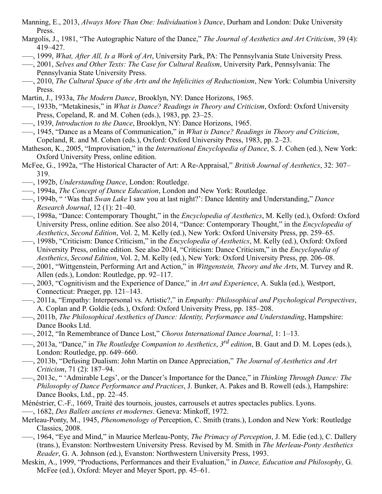- Manning, E., 2013, *Always More Than One: Individuation's Dance*, Durham and London: Duke University Press.
- Margolis, J., 1981, "The Autographic Nature of the Dance," *The Journal of Aesthetics and Art Criticism*, 39 (4): 419–427.
- –––, 1999, *What, After All, Is a Work of Art*, University Park, PA: The Pennsylvania State University Press.
- –––, 2001, *Selves and Other Texts: The Case for Cultural Realism*, University Park, Pennsylvania: The Pennsylvania State University Press.
- –––, 2010, *The Cultural Space of the Arts and the Infelicities of Reductionism*, New York: Columbia University Press.
- Martin, J., 1933a, *The Modern Dance*, Brooklyn, NY: Dance Horizons, 1965.
- –––, 1933b, "Metakinesis," in *What is Dance? Readings in Theory and Criticism*, Oxford: Oxford University Press, Copeland, R. and M. Cohen (eds.), 1983, pp. 23–25.
- –––, 1939, *Introduction to the Dance*, Brooklyn, NY: Dance Horizons, 1965.
- –––, 1945, "Dance as a Means of Communication," in *What is Dance? Readings in Theory and Criticism*, Copeland, R. and M. Cohen (eds.), Oxford: Oxford University Press, 1983, pp. 2–23.
- Matheson, K., 2005, "Improvisation," in the *International Encyclopedia of Dance*, S. J. Cohen (ed.), New York: Oxford University Press, online edition.
- McFee, G., 1992a, "The Historical Character of Art: A Re-Appraisal," *British Journal of Aesthetics*, 32: 307– 319.
- –––, 1992b, *Understanding Dance*, London: Routledge.
- –––, 1994a, *The Concept of Dance Education*, London and New York: Routledge.
- –––, 1994b, " 'Was that *Swan Lake* I saw you at last night?': Dance Identity and Understanding," *Dance Research Journal*, 12 (1): 21–40.
- –––, 1998a, "Dance: Contemporary Thought," in the *Encyclopedia of Aesthetics*, M. Kelly (ed.), Oxford: Oxford University Press, online edition. See also 2014, "Dance: Contemporary Thought," in the *Encyclopedia of Aesthetics*, *Second Edition*, Vol. 2, M. Kelly (ed.), New York: Oxford University Press, pp. 259–65.
- –––, 1998b, "Criticism: Dance Criticism," in the *Encyclopedia of Aesthetics*, M. Kelly (ed.), Oxford: Oxford University Press, online edition. See also 2014, "Criticism: Dance Criticism," in the *Encyclopedia of Aesthetics*, *Second Edition*, Vol. 2, M. Kelly (ed.), New York: Oxford University Press, pp. 206–08.
- –––, 2001, "Wittgenstein, Performing Art and Action," in *Wittgenstein, Theory and the Arts*, M. Turvey and R. Allen (eds.), London: Routledge, pp. 92–117.
- –––, 2003, "Cognitivism and the Experience of Dance," in *Art and Experience*, A. Sukla (ed.), Westport, Connecticut: Praeger, pp. 121–143.
- –––, 2011a, "Empathy: Interpersonal vs. Artistic?," in *Empathy: Philosophical and Psychological Perspectives*, A. Coplan and P. Goldie (eds.), Oxford: Oxford University Press, pp. 185–208.
- –––, 2011b, *The Philosophical Aesthetics of Dance: Identity, Performance and Understanding*, Hampshire: Dance Books Ltd.
- –––, 2012, "In Remembrance of Dance Lost," *Choros International Dance Journal*, 1: 1–13.
- —, 2013a, "Dance," in *The Routledge Companion to Aesthetics*, 3<sup>rd</sup> edition, B. Gaut and D. M. Lopes (eds.), London: Routledge, pp. 649–660.
- –––, 2013b, "Defusing Dualism: John Martin on Dance Appreciation," *The Journal of Aesthetics and Art Criticism*, 71 (2): 187–94.
- –––, 2013c, " 'Admirable Legs', or the Dancer's Importance for the Dance," in *Thinking Through Dance: The Philosophy of Dance Performance and Practices*, J. Bunker, A. Pakes and B. Rowell (eds.), Hampshire: Dance Books, Ltd., pp. 22–45.
- Ménéstrier, C.-F., 1669, Traité des tournois, joustes, carrousels et autres spectacles publics. Lyons. –––, 1682, *Des Ballets anciens et modernes*. Geneva: Minkoff, 1972.
- Merleau-Ponty, M., 1945, *Phenomenology of* Perception, C. Smith (trans.), London and New York: Routledge Classics, 2008.
- –––, 1964, "Eye and Mind," in Maurice Merleau-Ponty, *The Primacy of Perception*, J. M. Edie (ed.), C. Dallery (trans.), Evanston: Northwestern University Press. Revised by M. Smith in *The Merleau-Ponty Aesthetics Reader*, G. A. Johnson (ed.), Evanston: Northwestern University Press, 1993.
- Meskin, A., 1999, "Productions, Performances and their Evaluation," in *Dance, Education and Philosophy*, G. McFee (ed.), Oxford: Meyer and Meyer Sport, pp. 45–61.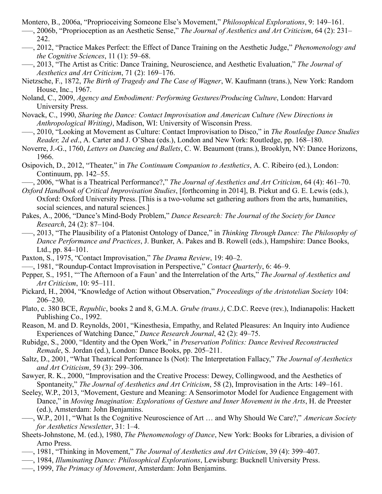- Montero, B., 2006a, "Proprioceiving Someone Else's Movement," *Philosophical Explorations*, 9: 149–161.
- –––, 2006b, "Proprioception as an Aesthetic Sense," *The Journal of Aesthetics and Art Criticism*, 64 (2): 231– 242.
- –––, 2012, "Practice Makes Perfect: the Effect of Dance Training on the Aesthetic Judge," *Phenomenology and the Cognitive Sciences*, 11 (1): 59–68.
- –––, 2013, "The Artist as Critic: Dance Training, Neuroscience, and Aesthetic Evaluation," *The Journal of Aesthetics and Art Criticism*, 71 (2): 169–176.
- Nietzsche, F., 1872, *The Birth of Tragedy and The Case of Wagner*, W. Kaufmann (trans.), New York: Random House, Inc., 1967.
- Noland, C., 2009, *Agency and Embodiment: Performing Gestures/Producing Culture*, London: Harvard University Press.
- Novack, C., 1990, *Sharing the Dance: Contact Improvisation and American Culture (New Directions in Anthropological Writing)*, Madison, WI: University of Wisconsin Press.
- –––, 2010, "Looking at Movement as Culture: Contact Improvisation to Disco," in *The Routledge Dance Studies Reader, 2d ed*., A. Carter and J. O'Shea (eds.), London and New York: Routledge, pp. 168–180.
- Noverre, J.-G., 1760, *Letters on Dancing and Ballets*, C. W. Beaumont (trans.), Brooklyn, NY: Dance Horizons, 1966.
- Osipovich, D., 2012, "Theater," in *The Continuum Companion to Aesthetics*, A. C. Ribeiro (ed.), London: Continuum, pp. 142–55.
- –––, 2006, "What is a Theatrical Performance?," *The Journal of Aesthetics and Art Criticism*, 64 (4): 461–70.
- *Oxford Handbook of Critical Improvisation Studies*, [forthcoming in 2014], B. Piekut and G. E. Lewis (eds.), Oxford: Oxford University Press. [This is a two-volume set gathering authors from the arts, humanities, social sciences, and natural sciences.]
- Pakes, A., 2006, "Dance's Mind-Body Problem," *Dance Research: The Journal of the Society for Dance Research*, 24 (2): 87–104.
- –––, 2013, "The Plausibility of a Platonist Ontology of Dance," in *Thinking Through Dance: The Philosophy of Dance Performance and Practices*, J. Bunker, A. Pakes and B. Rowell (eds.), Hampshire: Dance Books, Ltd., pp. 84–101.
- Paxton, S., 1975, "Contact Improvisation," *The Drama Review*, 19: 40–2.
- –––, 1981, "Roundup-Contact Improvisation in Perspective," *Contact Quarterly*, 6: 46–9.
- Pepper, S., 1951, "'The Afternoon of a Faun' and the Interrelation of the Arts," *The Journal of Aesthetics and Art Criticism*, 10: 95–111.
- Pickard, H., 2004, "Knowledge of Action without Observation," *Proceedings of the Aristotelian Society* 104: 206–230.
- Plato, c. 380 BCE, *Republic*, books 2 and 8, G.M.A. *Grube (trans.)*, C.D.C. Reeve (rev.), Indianapolis: Hackett Publishing Co., 1992.
- Reason, M. and D. Reynolds, 2001, "Kinesthesia, Empathy, and Related Pleasures: An Inquiry into Audience Experiences of Watching Dance," *Dance Research Journal*, 42 (2): 49–75.
- Rubidge, S., 2000, "Identity and the Open Work," in *Preservation Politics: Dance Revived Reconstructed Remade*, S. Jordan (ed.), London: Dance Books, pp. 205–211.
- Saltz, D., 2001, "What Theatrical Performance Is (Not): The Interpretation Fallacy," *The Journal of Aesthetics and Art Criticism*, 59 (3): 299–306.
- Sawyer, R. K., 2000, "Improvisation and the Creative Process: Dewey, Collingwood, and the Aesthetics of Spontaneity," *The Journal of Aesthetics and Art Criticism*, 58 (2), Improvisation in the Arts: 149–161.
- Seeley, W.P., 2013, "Movement, Gesture and Meaning: A Sensorimotor Model for Audience Engagement with Dance," in *Moving Imagination: Explorations of Gesture and Inner Movement in the Arts*, H. de Preester (ed.), Amsterdam: John Benjamins.
- –––, W.P., 2011, "What Is the Cognitive Neuroscience of Art … and Why Should We Care?," *American Society for Aesthetics Newsletter*, 31: 1–4.
- Sheets-Johnstone, M. (ed.), 1980, *The Phenomenology of Dance*, New York: Books for Libraries, a division of Arno Press.
- –––, 1981, "Thinking in Movement," *The Journal of Aesthetics and Art Criticism*, 39 (4): 399–407.
- –––, 1984, *Illuminating Dance: Philosophical Explorations*, Lewisburg: Bucknell University Press.
- –––, 1999, *The Primacy of Movement*, Amsterdam: John Benjamins.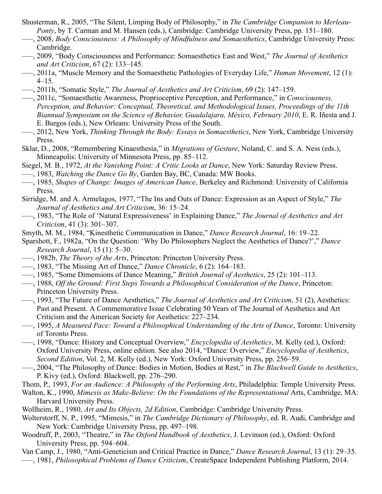- Shusterman, R., 2005, "The Silent, Limping Body of Philosophy," in *The Cambridge Companion to Merleau-Ponty*, by T. Carman and M. Hansen (eds.), Cambridge: Cambridge University Press, pp. 151–180.
- –––, 2008, *Body Consciousness: A Philosophy of Mindfulness and Somaesthetics*, Cambridge University Press: Cambridge.
- –––, 2009, "Body Consciousness and Performance: Somaesthetics East and West," *The Journal of Aesthetics and Art Criticism*, 67 (2): 133–145.
- –––, 2011a, "Muscle Memory and the Somaesthetic Pathologies of Everyday Life," *Human Movement*, 12 (1): 4–15.
- –––, 2011b, "Somatic Style," *The Journal of Aesthetics and Art Criticism*, 69 (2): 147–159.
- –––, 2011c, "Somaesthetic Awareness, Proprioceptive Perception, and Performance," in *Consciousness, Perception, and Behavior: Conceptual, Theoretical, and Methodological Issues, Proceedings of the 11th Biannual Symposium on the Science of Behavior, Guadalajara, México, February 2010*, E. R. Iñesta and J. E. Burgos (eds.), New Orleans: University Press of the South.
- –––, 2012, New York, *Thinking Through the Body: Essays in Somaesthetics*, New York, Cambridge University Press.
- Sklar, D., 2008, "Remembering Kinaesthesia," in *Migrations of Gesture*, Noland, C. and S. A. Ness (eds.), Minneapolis: University of Minnesota Press, pp. 85–112.
- Siegel, M. B., 1972, *At the Vanishing Point: A Critic Looks at Dance*, New York: Saturday Review Press.
- –––, 1983, *Watching the Dance Go By*, Garden Bay, BC, Canada: MW Books.
- –––, 1985, *Shapes of Change: Images of American Dance*, Berkeley and Richmond: University of California Press.
- Sirridge, M. and A. Armelagos, 1977, "The Ins and Outs of Dance: Expression as an Aspect of Style," *The Journal of Aesthetics and Art Criticism*, 36: 15–24.
- –––, 1983, "The Role of 'Natural Expressiveness' in Explaining Dance," *The Journal of Aesthetics and Art Criticism*, 41 (3): 301–307.
- Smyth, M. M., 1984, "Kinesthetic Communication in Dance," *Dance Research Journal*, 16: 19–22.
- Sparshott, F., 1982a, "On the Question: 'Why Do Philosophers Neglect the Aesthetics of Dance?'," *Dance Research Journal*, 15 (1): 5–30.
- –––, 1982b, *The Theory of the Arts*, Princeton: Princeton University Press.
- –––, 1983, "The Missing Art of Dance," *Dance Chronicle*, 6 (2): 164–183.
- –––, 1985, "Some Dimensions of Dance Meaning," *British Journal of Aesthetics*, 25 (2): 101–113.
- –––, 1988, *Off the Ground: First Steps Towards a Philosophical Consideration of the Dance*, Princeton: Princeton University Press.
- –––, 1993, "The Future of Dance Aesthetics," *The Journal of Aesthetics and Art Criticism*, 51 (2), Aesthetics: Past and Present. A Commemorative Issue Celebrating 50 Years of The Journal of Aesthetics and Art Criticism and the American Society for Aesthetics: 227–234.
- –––, 1995, *A Measured Pace: Toward a Philosophical Understanding of the Arts of Dance*, Toronto: University of Toronto Press.
- –––, 1998, "Dance: History and Conceptual Overview," *Encyclopedia of Aesthetics*, M. Kelly (ed.), Oxford: Oxford University Press, online edition. See also 2014, "Dance: Overview," *Encyclopedia of Aesthetics*, *Second Edition*, Vol. 2, M. Kelly (ed.), New York: Oxford University Press, pp. 256–59.
- –––, 2004, "The Philosophy of Dance: Bodies in Motion, Bodies at Rest," in *The Blackwell Guide to Aesthetics*, P. Kivy (ed.), Oxford: Blackwell, pp. 276–290.
- Thom, P., 1993, *For an Audience: A Philosophy of the Performing Arts*, Philadelphia: Temple University Press.
- Walton, K., 1990, *Mimesis as Make-Believe: On the Foundations of the Representational* Arts, Cambridge, MA: Harvard University Press.
- Wollheim, R., 1980, *Art and Its Objects, 2d Edition*, Cambridge: Cambridge University Press.
- Wolterstorff, N. P., 1995, "Mimesis," in *The Cambridge Dictionary of Philosophy*, ed. R. Audi, Cambridge and New York: Cambridge University Press, pp. 497–198.
- Woodruff, P., 2003, "Theatre," in *The Oxford Handbook of Aesthetics*, J. Levinson (ed.), Oxford: Oxford University Press, pp. 594–604.
- Van Camp, J., 1980, "Anti-Geneticism and Critical Practice in Dance," *Dance Research Journal*, 13 (1): 29–35. –––, 1981, *Philosophical Problems of Dance Criticism*, CreateSpace Independent Publishing Platform, 2014.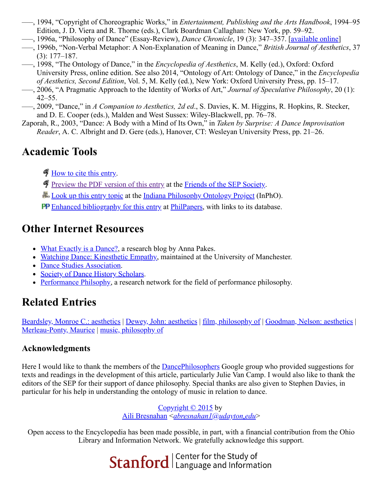- –––, 1994, "Copyright of Choreographic Works," in *Entertainment, Publishing and the Arts Handbook*, 1994–95 Edition, J. D. Viera and R. Thorne (eds.), Clark Boardman Callaghan: New York, pp. 59–92.
- –––, 1996a, "Philosophy of Dance" (Essay-Review), *Dance Chronicle*, 19 (3): 347–357. [\[available online\]](http://www.csulb.edu/~jvancamp/articl11.html)
- –––, 1996b, "Non-Verbal Metaphor: A Non-Explanation of Meaning in Dance," *British Journal of Aesthetics*, 37 (3): 177–187.
- –––, 1998, "The Ontology of Dance," in the *Encyclopedia of Aesthetics*, M. Kelly (ed.), Oxford: Oxford University Press, online edition. See also 2014, "Ontology of Art: Ontology of Dance," in the *Encyclopedia of Aesthetics, Second Edition*, Vol. 5, M. Kelly (ed.), New York: Oxford University Press, pp. 15–17.
- –––, 2006, "A Pragmatic Approach to the Identity of Works of Art," *Journal of Speculative Philosophy*, 20 (1): 42–55.
- –––, 2009, "Dance," in *A Companion to Aesthetics, 2d ed*., S. Davies, K. M. Higgins, R. Hopkins, R. Stecker, and D. E. Cooper (eds.), Malden and West Sussex: Wiley-Blackwell, pp. 76–78.
- Zaporah, R., 2003, "Dance: A Body with a Mind of Its Own," in *Taken by Surprise: A Dance Improvisation Reader*, A. C. Albright and D. Gere (eds.), Hanover, CT: Wesleyan University Press, pp. 21–26.

# <span id="page-22-0"></span>**Academic Tools**

- [How to cite this entry](https://plato.stanford.edu/cgi-bin/encyclopedia/archinfo.cgi?entry=dance&archive=win2018).
- [Preview the PDF version of this entry](https://leibniz.stanford.edu/friends/preview/dance/) at the [Friends of the SEP Society](https://leibniz.stanford.edu/friends/).
- **H.** [Look up this entry topic](https://www.inphoproject.org/entity?sep=dance&redirect=True) at the [Indiana Philosophy Ontology Project](https://www.inphoproject.org/) (InPhO).
- PP [Enhanced bibliography for this entry](http://philpapers.org/sep/dance/) at [PhilPapers,](http://philpapers.org/) with links to its database.

### <span id="page-22-1"></span>**Other Internet Resources**

- [What Exactly is a Dance?,](http://roehamptondance.com/whatexactlyisadance/) a research blog by Anna Pakes.
- [Watching Dance: Kinesthetic Empathy,](http://www.watchingdance.org/) maintained at the University of Manchester.
- [Dance Studies Association.](https://dancestudiesassociation.org/)
- [Society of Dance History Scholars.](http://sdhs.org/)
- [Performance Philsophy,](http://performancephilosophy.ning.com/) a research network for the field of performance philosophy.

# <span id="page-22-2"></span>**Related Entries**

[Beardsley, Monroe C.: aesthetics](https://plato.stanford.edu/archives/win2018/entries/beardsley-aesthetics/) | [Dewey, John: aesthetics](https://plato.stanford.edu/archives/win2018/entries/dewey-aesthetics/) | [film, philosophy of](https://plato.stanford.edu/archives/win2018/entries/film/) | [Goodman, Nelson: aesthetics](https://plato.stanford.edu/archives/win2018/entries/goodman-aesthetics/) | [Merleau-Ponty, Maurice](https://plato.stanford.edu/archives/win2018/entries/merleau-ponty/) | [music, philosophy of](https://plato.stanford.edu/archives/win2018/entries/music/)

### **Acknowledgments**

Here I would like to thank the members of the [DancePhilosophers](http://groups.google.com/group/dancephilosophers) Google group who provided suggestions for texts and readings in the development of this article, particularly Julie Van Camp. I would also like to thank the editors of the SEP for their support of dance philosophy. Special thanks are also given to Stephen Davies, in particular for his help in understanding the ontology of music in relation to dance.

> [Copyright © 2015](https://plato.stanford.edu/archives/win2018/info.html#c) by [Aili Bresnahan](http://www.artistsmatter.com/) <*[abresnahan1@udayton.edu](mailto:abresnahan1%40udayton%2eedu)*>

Open access to the Encyclopedia has been made possible, in part, with a financial contribution from the Ohio Library and Information Network. We gratefully acknowledge this support.

**Stanford** Eanter for the Study of